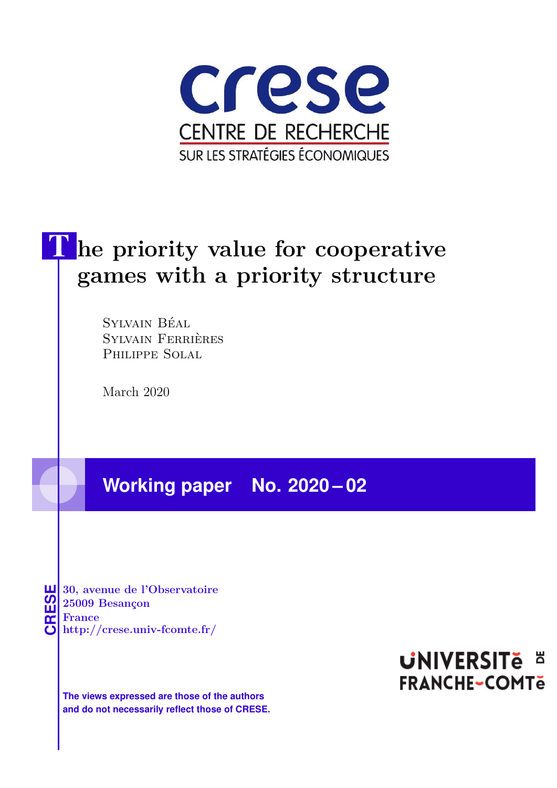

# The priority value for cooperative **games with a priority structure**

Sylvain Béal Sylvain Ferrières Philippe Solal

March 2020

**Working paper No. 2020 – 02**

**CRESE 30, avenue de l'Observatoire<br>
25009 Besançon<br>
France<br>
<b>CRESE de l'Observatoire de l'Observatoire**<br> **http://crese.univ-fcomte.fr/ 25009 Besançon France**

**The views expressed are those of the authors and do not necessarily reflect those of CRESE.**

## **UNIVERSITE E FRANCHE-COMTe**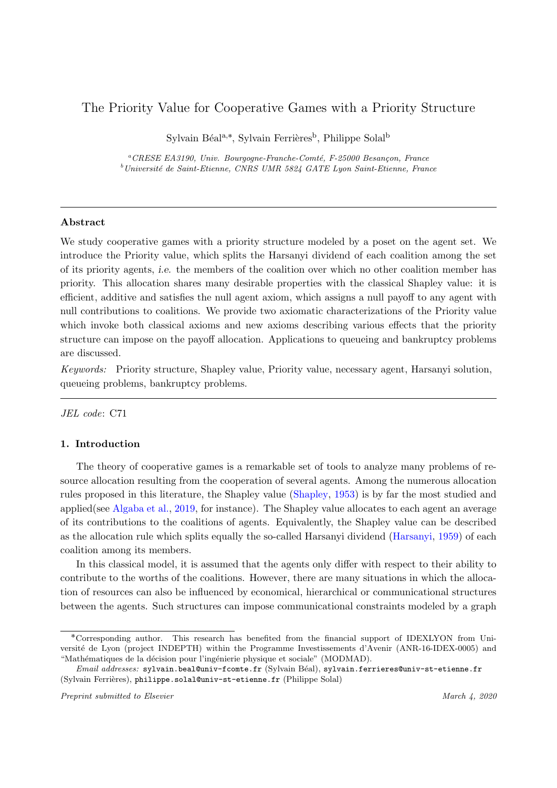### The Priority Value for Cooperative Games with a Priority Structure

Sylvain Béal<sup>a,\*</sup>, Sylvain Ferrières<sup>b</sup>, Philippe Solal<sup>b</sup>

 ${}^a$ CRESE EA3190, Univ. Bourgogne-Franche-Comté, F-25000 Besançon, France  $b$ Université de Saint-Etienne, CNRS UMR 5824 GATE Lyon Saint-Etienne, France

#### Abstract

We study cooperative games with a priority structure modeled by a poset on the agent set. We introduce the Priority value, which splits the Harsanyi dividend of each coalition among the set of its priority agents, i.e. the members of the coalition over which no other coalition member has priority. This allocation shares many desirable properties with the classical Shapley value: it is efficient, additive and satisfies the null agent axiom, which assigns a null payoff to any agent with null contributions to coalitions. We provide two axiomatic characterizations of the Priority value which invoke both classical axioms and new axioms describing various effects that the priority structure can impose on the payoff allocation. Applications to queueing and bankruptcy problems are discussed.

Keywords: Priority structure, Shapley value, Priority value, necessary agent, Harsanyi solution, queueing problems, bankruptcy problems.

JEL code: C71

#### 1. Introduction

The theory of cooperative games is a remarkable set of tools to analyze many problems of resource allocation resulting from the cooperation of several agents. Among the numerous allocation rules proposed in this literature, the Shapley value (Shapley, 1953) is by far the most studied and applied(see Algaba et al., 2019, for instance). The Shapley value allocates to each agent an average of its contributions to the coalitions of agents. Equivalently, the Shapley value can be described as the allocation rule which splits equally the so-called Harsanyi dividend (Harsanyi, 1959) of each coalition among its members.

In this classical model, it is assumed that the agents only differ with respect to their ability to contribute to the worths of the coalitions. However, there are many situations in which the allocation of resources can also be influenced by economical, hierarchical or communicational structures between the agents. Such structures can impose communicational constraints modeled by a graph

<sup>˚</sup>Corresponding author. This research has benefited from the financial support of IDEXLYON from Universit´e de Lyon (project INDEPTH) within the Programme Investissements d'Avenir (ANR-16-IDEX-0005) and "Mathématiques de la décision pour l'ingénierie physique et sociale" (MODMAD).

Email addresses: sylvain.beal@univ-fcomte.fr (Sylvain Béal), sylvain.ferrieres@univ-st-etienne.fr (Sylvain Ferrières), philippe.solal@univ-st-etienne.fr (Philippe Solal)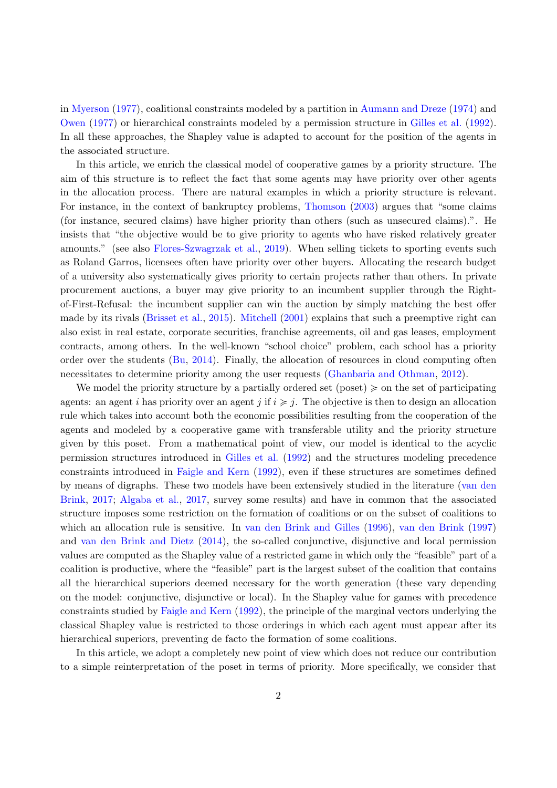in Myerson (1977), coalitional constraints modeled by a partition in Aumann and Dreze (1974) and Owen (1977) or hierarchical constraints modeled by a permission structure in Gilles et al. (1992). In all these approaches, the Shapley value is adapted to account for the position of the agents in the associated structure.

In this article, we enrich the classical model of cooperative games by a priority structure. The aim of this structure is to reflect the fact that some agents may have priority over other agents in the allocation process. There are natural examples in which a priority structure is relevant. For instance, in the context of bankruptcy problems, Thomson (2003) argues that "some claims (for instance, secured claims) have higher priority than others (such as unsecured claims).". He insists that "the objective would be to give priority to agents who have risked relatively greater amounts." (see also Flores-Szwagrzak et al., 2019). When selling tickets to sporting events such as Roland Garros, licensees often have priority over other buyers. Allocating the research budget of a university also systematically gives priority to certain projects rather than others. In private procurement auctions, a buyer may give priority to an incumbent supplier through the Rightof-First-Refusal: the incumbent supplier can win the auction by simply matching the best offer made by its rivals (Brisset et al., 2015). Mitchell (2001) explains that such a preemptive right can also exist in real estate, corporate securities, franchise agreements, oil and gas leases, employment contracts, among others. In the well-known "school choice" problem, each school has a priority order over the students (Bu, 2014). Finally, the allocation of resources in cloud computing often necessitates to determine priority among the user requests (Ghanbaria and Othman, 2012).

We model the priority structure by a partially ordered set (poset)  $\geq$  on the set of participating agents: an agent i has priority over an agent j if  $i \ge j$ . The objective is then to design an allocation rule which takes into account both the economic possibilities resulting from the cooperation of the agents and modeled by a cooperative game with transferable utility and the priority structure given by this poset. From a mathematical point of view, our model is identical to the acyclic permission structures introduced in Gilles et al. (1992) and the structures modeling precedence constraints introduced in Faigle and Kern (1992), even if these structures are sometimes defined by means of digraphs. These two models have been extensively studied in the literature (van den Brink, 2017; Algaba et al., 2017, survey some results) and have in common that the associated structure imposes some restriction on the formation of coalitions or on the subset of coalitions to which an allocation rule is sensitive. In van den Brink and Gilles (1996), van den Brink (1997) and van den Brink and Dietz (2014), the so-called conjunctive, disjunctive and local permission values are computed as the Shapley value of a restricted game in which only the "feasible" part of a coalition is productive, where the "feasible" part is the largest subset of the coalition that contains all the hierarchical superiors deemed necessary for the worth generation (these vary depending on the model: conjunctive, disjunctive or local). In the Shapley value for games with precedence constraints studied by Faigle and Kern (1992), the principle of the marginal vectors underlying the classical Shapley value is restricted to those orderings in which each agent must appear after its hierarchical superiors, preventing de facto the formation of some coalitions.

In this article, we adopt a completely new point of view which does not reduce our contribution to a simple reinterpretation of the poset in terms of priority. More specifically, we consider that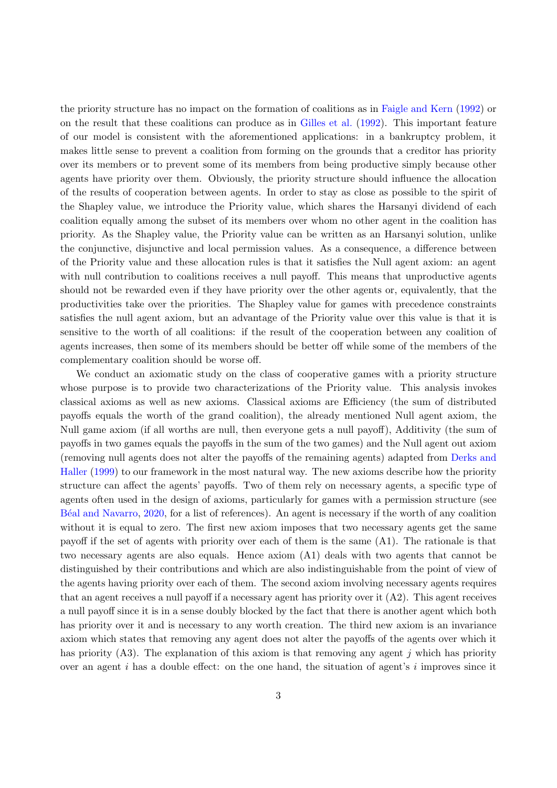the priority structure has no impact on the formation of coalitions as in Faigle and Kern (1992) or on the result that these coalitions can produce as in Gilles et al. (1992). This important feature of our model is consistent with the aforementioned applications: in a bankruptcy problem, it makes little sense to prevent a coalition from forming on the grounds that a creditor has priority over its members or to prevent some of its members from being productive simply because other agents have priority over them. Obviously, the priority structure should influence the allocation of the results of cooperation between agents. In order to stay as close as possible to the spirit of the Shapley value, we introduce the Priority value, which shares the Harsanyi dividend of each coalition equally among the subset of its members over whom no other agent in the coalition has priority. As the Shapley value, the Priority value can be written as an Harsanyi solution, unlike the conjunctive, disjunctive and local permission values. As a consequence, a difference between of the Priority value and these allocation rules is that it satisfies the Null agent axiom: an agent with null contribution to coalitions receives a null payoff. This means that unproductive agents should not be rewarded even if they have priority over the other agents or, equivalently, that the productivities take over the priorities. The Shapley value for games with precedence constraints satisfies the null agent axiom, but an advantage of the Priority value over this value is that it is sensitive to the worth of all coalitions: if the result of the cooperation between any coalition of agents increases, then some of its members should be better off while some of the members of the complementary coalition should be worse off.

We conduct an axiomatic study on the class of cooperative games with a priority structure whose purpose is to provide two characterizations of the Priority value. This analysis invokes classical axioms as well as new axioms. Classical axioms are Efficiency (the sum of distributed payoffs equals the worth of the grand coalition), the already mentioned Null agent axiom, the Null game axiom (if all worths are null, then everyone gets a null payoff), Additivity (the sum of payoffs in two games equals the payoffs in the sum of the two games) and the Null agent out axiom (removing null agents does not alter the payoffs of the remaining agents) adapted from Derks and Haller (1999) to our framework in the most natural way. The new axioms describe how the priority structure can affect the agents' payoffs. Two of them rely on necessary agents, a specific type of agents often used in the design of axioms, particularly for games with a permission structure (see B´eal and Navarro, 2020, for a list of references). An agent is necessary if the worth of any coalition without it is equal to zero. The first new axiom imposes that two necessary agents get the same payoff if the set of agents with priority over each of them is the same (A1). The rationale is that two necessary agents are also equals. Hence axiom (A1) deals with two agents that cannot be distinguished by their contributions and which are also indistinguishable from the point of view of the agents having priority over each of them. The second axiom involving necessary agents requires that an agent receives a null payoff if a necessary agent has priority over it  $(A2)$ . This agent receives a null payoff since it is in a sense doubly blocked by the fact that there is another agent which both has priority over it and is necessary to any worth creation. The third new axiom is an invariance axiom which states that removing any agent does not alter the payoffs of the agents over which it has priority (A3). The explanation of this axiom is that removing any agent  $j$  which has priority over an agent i has a double effect: on the one hand, the situation of agent's i improves since it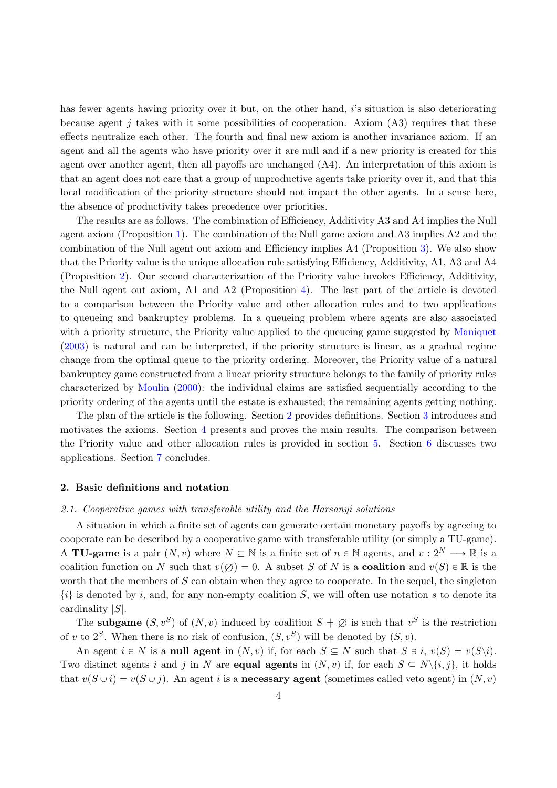has fewer agents having priority over it but, on the other hand, i's situation is also deteriorating because agent j takes with it some possibilities of cooperation. Axiom  $(A3)$  requires that these effects neutralize each other. The fourth and final new axiom is another invariance axiom. If an agent and all the agents who have priority over it are null and if a new priority is created for this agent over another agent, then all payoffs are unchanged (A4). An interpretation of this axiom is that an agent does not care that a group of unproductive agents take priority over it, and that this local modification of the priority structure should not impact the other agents. In a sense here, the absence of productivity takes precedence over priorities.

The results are as follows. The combination of Efficiency, Additivity A3 and A4 implies the Null agent axiom (Proposition 1). The combination of the Null game axiom and A3 implies A2 and the combination of the Null agent out axiom and Efficiency implies A4 (Proposition 3). We also show that the Priority value is the unique allocation rule satisfying Efficiency, Additivity, A1, A3 and A4 (Proposition 2). Our second characterization of the Priority value invokes Efficiency, Additivity, the Null agent out axiom, A1 and A2 (Proposition 4). The last part of the article is devoted to a comparison between the Priority value and other allocation rules and to two applications to queueing and bankruptcy problems. In a queueing problem where agents are also associated with a priority structure, the Priority value applied to the queueing game suggested by Maniquet (2003) is natural and can be interpreted, if the priority structure is linear, as a gradual regime change from the optimal queue to the priority ordering. Moreover, the Priority value of a natural bankruptcy game constructed from a linear priority structure belongs to the family of priority rules characterized by Moulin (2000): the individual claims are satisfied sequentially according to the priority ordering of the agents until the estate is exhausted; the remaining agents getting nothing.

The plan of the article is the following. Section 2 provides definitions. Section 3 introduces and motivates the axioms. Section 4 presents and proves the main results. The comparison between the Priority value and other allocation rules is provided in section 5. Section 6 discusses two applications. Section 7 concludes.

#### 2. Basic definitions and notation

#### 2.1. Cooperative games with transferable utility and the Harsanyi solutions

A situation in which a finite set of agents can generate certain monetary payoffs by agreeing to cooperate can be described by a cooperative game with transferable utility (or simply a TU-game). A **TU-game** is a pair  $(N, v)$  where  $N \subseteq \mathbb{N}$  is a finite set of  $n \in \mathbb{N}$  agents, and  $v : 2^N \longrightarrow \mathbb{R}$  is a coalition function on N such that  $v(\emptyset) = 0$ . A subset S of N is a **coalition** and  $v(S) \in \mathbb{R}$  is the worth that the members of  $S$  can obtain when they agree to cooperate. In the sequel, the singleton  $\{i\}$  is denoted by i, and, for any non-empty coalition S, we will often use notation s to denote its cardinality |S|.

The **subgame**  $(S, v^S)$  of  $(N, v)$  induced by coalition  $S \neq \emptyset$  is such that  $v^S$  is the restriction of v to  $2^S$ . When there is no risk of confusion,  $(S, v^S)$  will be denoted by  $(S, v)$ .

An agent  $i \in N$  is a null agent in  $(N, v)$  if, for each  $S \subseteq N$  such that  $S \ni i$ ,  $v(S) = v(S\setminus i)$ . Two distinct agents i and j in N are **equal agents** in  $(N, v)$  if, for each  $S \subseteq N\{i, j\}$ , it holds that  $v(S \cup i) = v(S \cup j)$ . An agent *i* is a **necessary agent** (sometimes called veto agent) in  $(N, v)$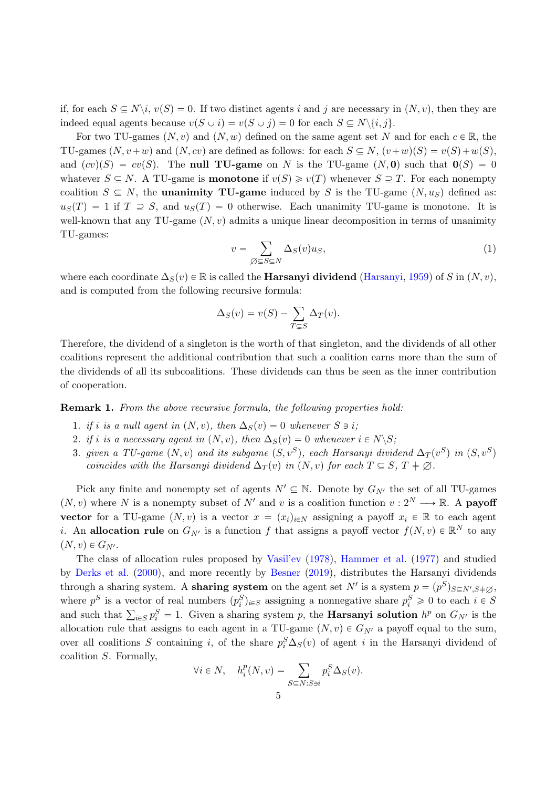if, for each  $S \subseteq N \backslash i$ ,  $v(S) = 0$ . If two distinct agents i and j are necessary in  $(N, v)$ , then they are indeed equal agents because  $v(S \cup i) = v(S \cup j) = 0$  for each  $S \subseteq N \setminus \{i, j\}.$ 

For two TU-games  $(N, v)$  and  $(N, w)$  defined on the same agent set N and for each  $c \in \mathbb{R}$ , the TU-games  $(N, v+w)$  and  $(N, cv)$  are defined as follows: for each  $S \subseteq N$ ,  $(v+w)(S) = v(S) + w(S)$ , and  $(cv)(S) = cv(S)$ . The null TU-game on N is the TU-game  $(N, 0)$  such that  $0(S) = 0$ whatever  $S \subseteq N$ . A TU-game is **monotone** if  $v(S) \geq v(T)$  whenever  $S \supseteq T$ . For each nonempty coalition  $S \subseteq N$ , the **unanimity TU-game** induced by S is the TU-game  $(N, u<sub>S</sub>)$  defined as:  $u_S(T) = 1$  if  $T \supseteq S$ , and  $u_S(T) = 0$  otherwise. Each unanimity TU-game is monotone. It is well-known that any TU-game  $(N, v)$  admits a unique linear decomposition in terms of unanimity TU-games:

$$
v = \sum_{\emptyset \subsetneq S \subseteq N} \Delta_S(v) u_S,\tag{1}
$$

where each coordinate  $\Delta_S(v) \in \mathbb{R}$  is called the **Harsanyi dividend** (Harsanyi, 1959) of S in  $(N, v)$ , and is computed from the following recursive formula:

$$
\Delta_S(v) = v(S) - \sum_{T \subsetneq S} \Delta_T(v).
$$

Therefore, the dividend of a singleton is the worth of that singleton, and the dividends of all other coalitions represent the additional contribution that such a coalition earns more than the sum of the dividends of all its subcoalitions. These dividends can thus be seen as the inner contribution of cooperation.

Remark 1. From the above recursive formula, the following properties hold:

- 1. if i is a null agent in  $(N, v)$ , then  $\Delta_S(v) = 0$  whenever  $S \ni i$ ;
- 2. if i is a necessary agent in  $(N, v)$ , then  $\Delta_S(v) = 0$  whenever  $i \in N \backslash S$ ;
- 3. given a TU-game  $(N, v)$  and its subgame  $(S, v^S)$ , each Harsanyi dividend  $\Delta_T (v^S)$  in  $(S, v^S)$ coincides with the Harsanyi dividend  $\Delta_T(v)$  in  $(N, v)$  for each  $T \subseteq S, T \neq \emptyset$ .

Pick any finite and nonempty set of agents  $N' \subseteq \mathbb{N}$ . Denote by  $G_{N'}$  the set of all TU-games  $(N, v)$  where N is a nonempty subset of N' and v is a coalition function  $v : 2^N \longrightarrow \mathbb{R}$ . A **payoff** vector for a TU-game  $(N, v)$  is a vector  $x = (x_i)_{i \in N}$  assigning a payoff  $x_i \in \mathbb{R}$  to each agent *i*. An allocation rule on  $G_{N'}$  is a function f that assigns a payoff vector  $f(N, v) \in \mathbb{R}^N$  to any  $(N, v) \in G_{N'}$ .

The class of allocation rules proposed by Vasil'ev (1978), Hammer et al. (1977) and studied by Derks et al. (2000), and more recently by Besner (2019), distributes the Harsanyi dividends through a sharing system. A **sharing system** on the agent set N' is a system  $p = (p^S)_{S \subseteq N', S \neq \emptyset}$ , where  $p^S$  is a vector of real numbers  $(p_i^S)_{i \in S}$  assigning a nonnegative share  $p_i^S \geq 0$  to each  $i \in S$ where  $p^2$  is a vector of real numbers  $(p_i^2)_{i \in S}$  assigning a nonnegative share  $p_i^2 \ge 0$  to each  $i \in S$ <br>and such that  $\sum_{i \in S} p_i^S = 1$ . Given a sharing system p, the **Harsanyi solution**  $h^p$  on  $G_{N'}$  is the allocation rule that assigns to each agent in a TU-game  $(N, v) \in G_{N'}$  a payoff equal to the sum, over all coalitions S containing i, of the share  $p_i^S \Delta_S(v)$  of agent i in the Harsanyi dividend of coalition S. Formally,

$$
\forall i \in N, \quad h_i^p(N, v) = \sum_{S \subseteq N: S \ni i} p_i^S \Delta_S(v).
$$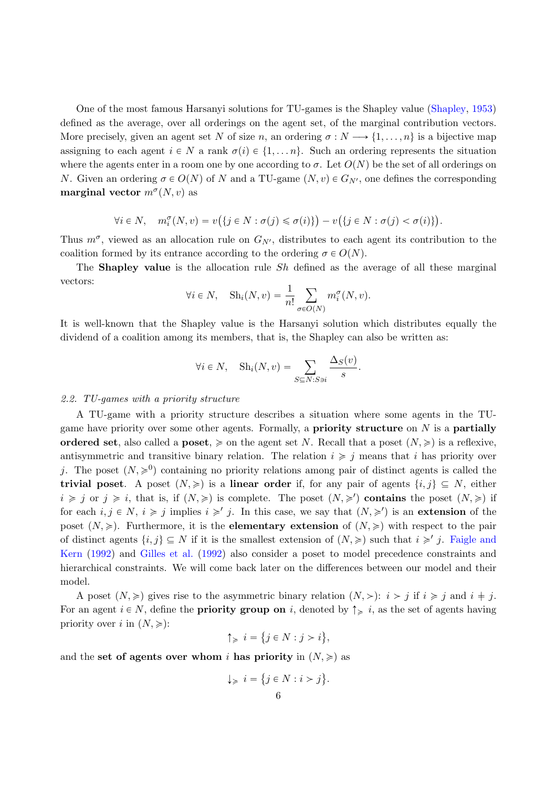One of the most famous Harsanyi solutions for TU-games is the Shapley value (Shapley, 1953) defined as the average, over all orderings on the agent set, of the marginal contribution vectors. More precisely, given an agent set N of size n, an ordering  $\sigma: N \longrightarrow \{1, \ldots, n\}$  is a bijective map assigning to each agent  $i \in N$  a rank  $\sigma(i) \in \{1, \ldots n\}$ . Such an ordering represents the situation where the agents enter in a room one by one according to  $\sigma$ . Let  $O(N)$  be the set of all orderings on N. Given an ordering  $\sigma \in O(N)$  of N and a TU-game  $(N, v) \in G_{N'}$ , one defines the corresponding marginal vector  $m^{\sigma}(N, v)$  as

$$
\forall i \in N, \quad m_i^{\sigma}(N, v) = v(\lbrace j \in N : \sigma(j) \leq \sigma(i) \rbrace) - v(\lbrace j \in N : \sigma(j) < \sigma(i) \rbrace).
$$

Thus  $m^{\sigma}$ , viewed as an allocation rule on  $G_{N'}$ , distributes to each agent its contribution to the coalition formed by its entrance according to the ordering  $\sigma \in O(N)$ .

The **Shapley value** is the allocation rule  $Sh$  defined as the average of all these marginal vectors:

$$
\forall i \in N, \quad \text{Sh}_i(N, v) = \frac{1}{n!} \sum_{\sigma \in O(N)} m_i^{\sigma}(N, v).
$$

It is well-known that the Shapley value is the Harsanyi solution which distributes equally the dividend of a coalition among its members, that is, the Shapley can also be written as:

$$
\forall i \in N, \quad \text{Sh}_i(N, v) = \sum_{S \subseteq N: S \ni i} \frac{\Delta_S(v)}{s}.
$$

#### 2.2. TU-games with a priority structure

A TU-game with a priority structure describes a situation where some agents in the TUgame have priority over some other agents. Formally, a **priority structure** on  $N$  is a **partially** ordered set, also called a poset,  $\geq$  on the agent set N. Recall that a poset  $(N, \geq)$  is a reflexive, antisymmetric and transitive binary relation. The relation  $i \geq j$  means that i has priority over j. The poset  $(N, \geq 0)$  containing no priority relations among pair of distinct agents is called the trivial poset. A poset  $(N, \geqslant)$  is a linear order if, for any pair of agents  $\{i, j\} \subseteq N$ , either  $i \geq j$  or  $j \geq i$ , that is, if  $(N, \geq)$  is complete. The poset  $(N, \geq')$  contains the poset  $(N, \geq)$  if for each  $i, j \in N$ ,  $i \geq j$  implies  $i \geq j$ . In this case, we say that  $(N, \geq')$  is an extension of the poset  $(N, \geq)$ . Furthermore, it is the **elementary extension** of  $(N, \geq)$  with respect to the pair of distinct agents  $\{i, j\} \subseteq N$  if it is the smallest extension of  $(N, \geqslant)$  such that  $i \geqslant j$ . Faigle and Kern (1992) and Gilles et al. (1992) also consider a poset to model precedence constraints and hierarchical constraints. We will come back later on the differences between our model and their model.

A poset  $(N, \geqslant)$  gives rise to the asymmetric binary relation  $(N, \geqslant): i > j$  if  $i \geqslant j$  and  $i \neq j$ . For an agent  $i \in N$ , define the **priority group on** i, denoted by  $\uparrow \geq i$ , as the set of agents having priority over i in  $(N, \geqslant)$ : (

$$
\uparrow_{\geqslant} i = \{ j \in N : j > i \},
$$

and the set of agents over whom i has priority in  $(N, \geq)$  as

$$
\downarrow \geq i = \{ j \in N : i > j \}.
$$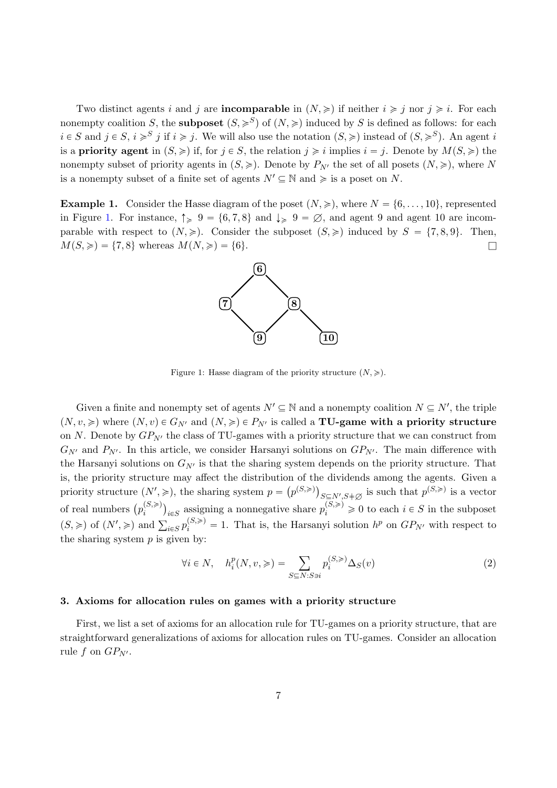Two distinct agents i and j are **incomparable** in  $(N, \geqslant)$  if neither  $i \geqslant j$  nor  $j \geqslant i$ . For each nonempty coalition S, the **subposet**  $(S, \geq S)$  of  $(N, \geq)$  induced by S is defined as follows: for each  $i \in S$  and  $j \in S$ ,  $i \geqslant S$  if  $i \geqslant j$ . We will also use the notation  $(S, \geqslant)$  instead of  $(S, \geqslant^S)$ . An agent i is a **priority agent** in  $(S, \geq)$  if, for  $j \in S$ , the relation  $j \geq i$  implies  $i = j$ . Denote by  $M(S, \geq)$  the nonempty subset of priority agents in  $(S, \geqslant)$ . Denote by  $P_{N'}$  the set of all posets  $(N, \geqslant)$ , where N is a nonempty subset of a finite set of agents  $N' \subseteq \mathbb{N}$  and  $\geq$  is a poset on N.

**Example 1.** Consider the Hasse diagram of the poset  $(N, \geq)$ , where  $N = \{6, \ldots, 10\}$ , represented in Figure 1. For instance,  $\uparrow \geq 9 = \{6, 7, 8\}$  and  $\downarrow \geq 9 = \emptyset$ , and agent 9 and agent 10 are incomparable with respect to  $(N, \geqslant)$ . Consider the subposet  $(S, \geqslant)$  induced by  $S = \{7, 8, 9\}$ . Then,  $M(S, \geqslant) = \{7, 8\}$  whereas  $M(N, \geqslant) = \{6\}.$ 



Figure 1: Hasse diagram of the priority structure  $(N, \geqslant)$ .

Given a finite and nonempty set of agents  $N' \subseteq \mathbb{N}$  and a nonempty coalition  $N \subseteq N'$ , the triple  $(N, v, \geq)$  where  $(N, v) \in G_{N'}$  and  $(N, \geq) \in P_{N'}$  is called a **TU-game with a priority structure** on N. Denote by  $GP_{N'}$  the class of TU-games with a priority structure that we can construct from  $G_{N'}$  and  $P_{N'}$ . In this article, we consider Harsanyi solutions on  $GP_{N'}$ . The main difference with the Harsanyi solutions on  $G_{N'}$  is that the sharing system depends on the priority structure. That is, the priority structure may affect the distribution of the dividends among the agents. Given a priority structure  $(N', \geqslant)$ , the sharing system  $p = (p^{(S,\geqslant)})_{\substack{S \subseteq N', S \neq \emptyset \\ S \subseteq S, S}}$  is such that  $p^{(S,\geqslant)}$  is a vector of real numbers  $(p_i^{(S,\ge)})$  $\binom{(S,\geq)}{i}$ <sub>i</sub> estigning a nonnegative share  $p_i^{(S,\geq)} \geq 0$  to each  $i \in S$  in the subposet  $p_i$   $p_i$   $p_i$   $p_i$   $p_i$   $p_i$  and  $\sum_{i \in S} p_i^{(S,\geqslant)} = 1$ . That is, the Harsanyi solution  $h^p$  on  $GP_{N'}$  with respect to the sharing system  $p$  is given by:

$$
\forall i \in N, \quad h_i^p(N, v, \geqslant) = \sum_{S \subseteq N: S \ni i} p_i^{(S, \geqslant)} \Delta_S(v)
$$
\n
$$
(2)
$$

#### 3. Axioms for allocation rules on games with a priority structure

First, we list a set of axioms for an allocation rule for TU-games on a priority structure, that are straightforward generalizations of axioms for allocation rules on TU-games. Consider an allocation rule f on  $GP_{N'}$ .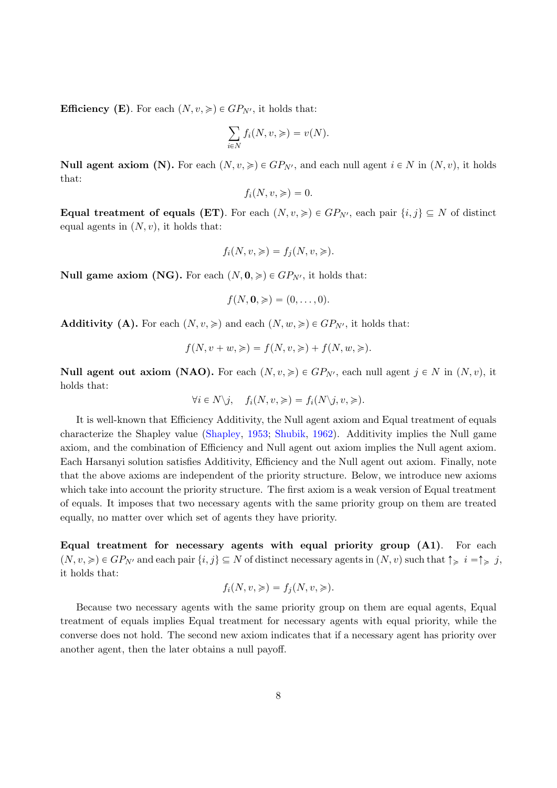**Efficiency (E)**. For each  $(N, v, \geq) \in GP_{N'}$ , it holds that:

$$
\sum_{i \in N} f_i(N, v, \geqslant) = v(N).
$$

**Null agent axiom (N).** For each  $(N, v, \geq) \in GP_{N'}$ , and each null agent  $i \in N$  in  $(N, v)$ , it holds that:

$$
f_i(N, v, \geqslant) = 0.
$$

Equal treatment of equals (ET). For each  $(N, v, \geqslant) \in GP_{N'}$ , each pair  $\{i, j\} \subseteq N$  of distinct equal agents in  $(N, v)$ , it holds that:

$$
f_i(N, v, \geqslant) = f_j(N, v, \geqslant).
$$

**Null game axiom (NG).** For each  $(N, 0, \geq) \in GP_{N'}$ , it holds that:

$$
f(N, \mathbf{0}, \geqslant) = (0, \ldots, 0).
$$

**Additivity (A).** For each  $(N, v, \geqslant)$  and each  $(N, w, \geqslant) \in GP_{N'}$ , it holds that:

$$
f(N, v + w, \geqslant) = f(N, v, \geqslant) + f(N, w, \geqslant).
$$

**Null agent out axiom (NAO).** For each  $(N, v, \geqslant) \in GP_{N'}$ , each null agent  $j \in N$  in  $(N, v)$ , it holds that:

$$
\forall i \in N \setminus j, \quad f_i(N, v, \geqslant) = f_i(N \setminus j, v, \geqslant).
$$

It is well-known that Efficiency Additivity, the Null agent axiom and Equal treatment of equals characterize the Shapley value (Shapley, 1953; Shubik, 1962). Additivity implies the Null game axiom, and the combination of Efficiency and Null agent out axiom implies the Null agent axiom. Each Harsanyi solution satisfies Additivity, Efficiency and the Null agent out axiom. Finally, note that the above axioms are independent of the priority structure. Below, we introduce new axioms which take into account the priority structure. The first axiom is a weak version of Equal treatment of equals. It imposes that two necessary agents with the same priority group on them are treated equally, no matter over which set of agents they have priority.

Equal treatment for necessary agents with equal priority group (A1). For each  $p(N, v, \geqslant) \in GP_{N'}$  and each pair  $\{i, j\} \subseteq N$  of distinct necessary agents in  $(N, v)$  such that  $\uparrow \geqslant i = \uparrow \geqslant j$ , it holds that:

$$
f_i(N, v, \geqslant) = f_j(N, v, \geqslant).
$$

Because two necessary agents with the same priority group on them are equal agents, Equal treatment of equals implies Equal treatment for necessary agents with equal priority, while the converse does not hold. The second new axiom indicates that if a necessary agent has priority over another agent, then the later obtains a null payoff.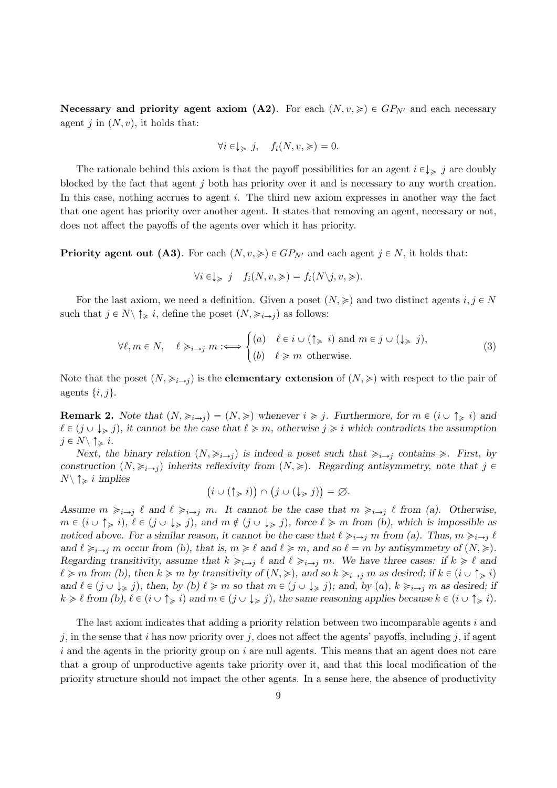Necessary and priority agent axiom (A2). For each  $(N, v, \geqslant) \in GP_{N'}$  and each necessary agent *j* in  $(N, v)$ , it holds that:

$$
\forall i \in \downarrow \geq j, \quad f_i(N, v, \geqslant) = 0.
$$

The rationale behind this axiom is that the payoff possibilities for an agent  $i \in \downarrow$  is in a doubly blocked by the fact that agent j both has priority over it and is necessary to any worth creation. In this case, nothing accrues to agent  $i$ . The third new axiom expresses in another way the fact that one agent has priority over another agent. It states that removing an agent, necessary or not, does not affect the payoffs of the agents over which it has priority.

**Priority agent out (A3).** For each  $(N, v, \geqslant) \in GP_{N'}$  and each agent  $j \in N$ , it holds that:

$$
\forall i \in \downarrow \geq j \quad f_i(N, v, \geqslant) = f_i(N \setminus j, v, \geqslant).
$$

For the last axiom, we need a definition. Given a poset  $(N, \geq)$  and two distinct agents  $i, j \in N$ such that  $j \in N \setminus \uparrow \geq i$ , define the poset  $(N, \geq i \rightarrow j)$  as follows:

$$
\forall \ell, m \in N, \quad \ell \geq i \to j \text{ } m \colon \Longleftrightarrow \begin{cases} (a) & \ell \in i \cup (\uparrow \geq i) \text{ and } m \in j \cup (\downarrow \geq j), \\ (b) & \ell \geq m \text{ otherwise.} \end{cases} \tag{3}
$$

Note that the poset  $(N, \geq, \geq, \rightarrow)$  is the **elementary extension** of  $(N, \geq)$  with respect to the pair of agents  $\{i, j\}.$ 

**Remark 2.** Note that  $(N, \geq_{i\rightarrow j}) = (N, \geq)$  whenever  $i \geq j$ . Furthermore, for  $m \in (i \cup \uparrow \geq i)$  and  $\ell \in (j \cup \downarrow \geq j)$ , it cannot be the case that  $\ell \geq m$ , otherwise  $j \geq i$  which contradicts the assumption  $j \in N \backslash \uparrow \geq i$ .

Next, the binary relation  $(N, \geqslant_{i\to j})$  is indeed a poset such that  $\geqslant_{i\to j}$  contains  $\geqslant$ . First, by construction  $(N, \geqslant_{i\to i})$  inherits reflexivity from  $(N, \geqslant)$ . Regarding antisymmetry, note that j  $\in$  $N\setminus \uparrow \geq i$  implies

$$
(i \cup (\uparrow_{\geq i})) \cap (j \cup (\downarrow_{\geq i})) = \varnothing.
$$

Assume  $m \geq i \to j \ell$  and  $\ell \geq i \to j \ell$ . It cannot be the case that  $m \geq i \to j \ell$  from (a). Otherwise,  $m \in (i \cup \uparrow \geq i), \ell \in (j \cup \downarrow \geq j), \text{ and } m \notin (j \cup \downarrow \geq j), \text{ force } \ell \geq m \text{ from } (b), \text{ which is impossible as}$ noticed above. For a similar reason, it cannot be the case that  $\ell \geq i \to j$  m from (a). Thus,  $m \geq i \to j$   $\ell$ and  $\ell \geq i \to j$  m occur from (b), that is,  $m \geq \ell$  and  $\ell \geq m$ , and so  $\ell = m$  by antisymmetry of  $(N, \geq)$ . Regarding transitivity, assume that  $k \geq i \to i$  and  $\ell \geq i \to j$  m. We have three cases: if  $k \geq \ell$  and  $\ell \geq m$  from (b), then  $k \geq m$  by transitivity of  $(N, \geq)$ , and so  $k \geq_{i \to j} m$  as desired; if  $k \in (i \cup \uparrow \geq i)$ and  $\ell \in (j \cup \downarrow_{\geq j})$ , then, by  $(b) \ell \geq m$  so that  $m \in (j \cup \downarrow_{\geq j})$ ; and, by  $(a)$ ,  $k \geq i \rightarrow j$  m as desired; if  $k \geq \ell$  from (b),  $\ell \in (i \cup \uparrow_{\geq} i)$  and  $m \in (j \cup \downarrow_{\geq} j)$ , the same reasoning applies because  $k \in (i \cup \uparrow_{\geq} i)$ .

The last axiom indicates that adding a priority relation between two incomparable agents i and j, in the sense that i has now priority over j, does not affect the agents' payoffs, including j, if agent  $i$  and the agents in the priority group on  $i$  are null agents. This means that an agent does not care that a group of unproductive agents take priority over it, and that this local modification of the priority structure should not impact the other agents. In a sense here, the absence of productivity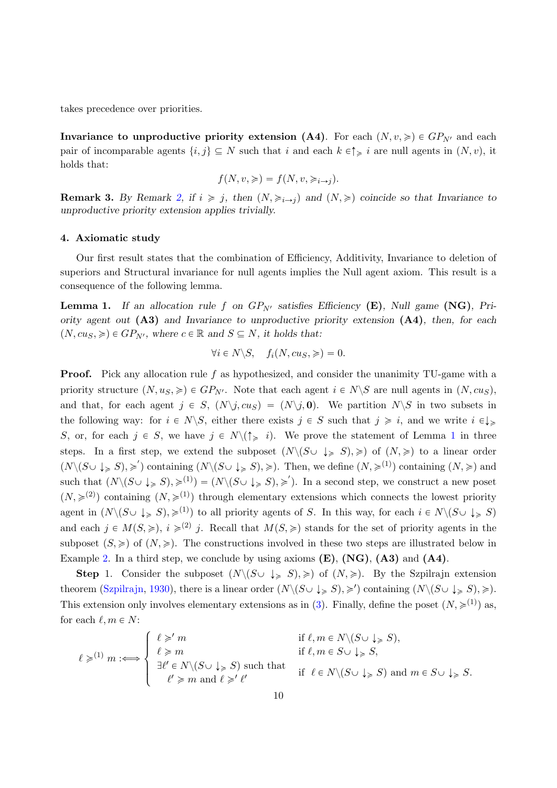takes precedence over priorities.

Invariance to unproductive priority extension (A4). For each  $(N, v, \geq) \in GP_{N'}$  and each pair of incomparable agents  $\{i, j\} \subseteq N$  such that i and each  $k \in \uparrow \geq i$  are null agents in  $(N, v)$ , it holds that:

$$
f(N, v, \geqslant) = f(N, v, \geqslant_{i \to j}).
$$

**Remark 3.** By Remark 2, if  $i \geq j$ , then  $(N, \geq i \rightarrow j)$  and  $(N, \geq j)$  coincide so that Invariance to unproductive priority extension applies trivially.

#### 4. Axiomatic study

Our first result states that the combination of Efficiency, Additivity, Invariance to deletion of superiors and Structural invariance for null agents implies the Null agent axiom. This result is a consequence of the following lemma.

**Lemma 1.** If an allocation rule f on  $GP_{N'}$  satisfies Efficiency (E), Null game (NG), Priority agent out  $(A3)$  and Invariance to unproductive priority extension  $(A4)$ , then, for each  $(N, cu_S, \geqslant) \in GP_{N'}$ , where  $c \in \mathbb{R}$  and  $S \subseteq N$ , it holds that:

$$
\forall i \in N \setminus S, \quad f_i(N, c u_S, \geqslant) = 0.
$$

Proof. Pick any allocation rule f as hypothesized, and consider the unanimity TU-game with a priority structure  $(N, u<sub>S</sub>, \geqslant) \in GP_{N'}$ . Note that each agent  $i \in N\backslash S$  are null agents in  $(N, cu<sub>S</sub>)$ , and that, for each agent  $j \in S$ ,  $(N\setminus j, c u_s) = (N\setminus j, 0)$ . We partition  $N\setminus S$  in two subsets in the following way: for  $i \in N \backslash S$ , either there exists  $j \in S$  such that  $j \geq i$ , and we write  $i \in \downarrow \geq$ S, or, for each  $j \in S$ , we have  $j \in N \setminus (\uparrow \geq i)$ . We prove the statement of Lemma 1 in three steps. In a first step, we extend the subposet  $(N\setminus (S\cup \downarrow_{\geq S}), \geq)$  of  $(N, \geq)$  to a linear order  $(N\setminus (S\cup \downarrow_{\geqslant} S), \geqslant')$  containing  $(N\setminus (S\cup \downarrow_{\geqslant} S), \geqslant)$ . Then, we define  $(N, \geqslant^{(1)})$  containing  $(N, \geqslant)$  and such that  $(N\setminus (S\cup \downarrow_{\geqslant} S), \geqslant^{(1)}) = (N\setminus (S\cup \downarrow_{\geqslant} S), \geqslant').$  In a second step, we construct a new poset  $(N, \geq 1)$  containing  $(N, \geq 1)$  through elementary extensions which connects the lowest priority agent in  $(N\setminus (S\cup \downarrow_{\geqslant} S), \geqslant^{(1)})$  to all priority agents of S. In this way, for each  $i \in N\setminus (S\cup \downarrow_{\geqslant} S)$ and each  $j \in M(S, \geqslant), i \geqslant^{(2)} j$ . Recall that  $M(S, \geqslant)$  stands for the set of priority agents in the subposet  $(S, \geq)$  of  $(N, \geq)$ . The constructions involved in these two steps are illustrated below in Example 2. In a third step, we conclude by using axioms  $(E)$ ,  $(NG)$ ,  $(A3)$  and  $(A4)$ .

**Step 1.** Consider the subposet  $(N\setminus (S\cup \downarrow_{\geq S}), \geq)$  of  $(N, \geq)$ . By the Szpilrajn extension theorem (Szpilrajn, 1930), there is a linear order  $(N \setminus (S \cup \downarrow_{\geq S}), \geq)$  containing  $(N \setminus (S \cup \downarrow_{\geq S}), \geq)$ . This extension only involves elementary extensions as in (3). Finally, define the poset  $(N, \geq 1)$  as, for each  $\ell, m \in N$ :

$$
\ell \geqslant^{(1)} m \implies \begin{cases} \ell \geqslant' m & \text{if } \ell, m \in N \setminus (S \cup \downarrow \geqslant S), \\ \ell \geqslant m & \text{if } \ell, m \in S \cup \downarrow \geqslant S, \\ \exists \ell' \in N \setminus (S \cup \downarrow \geqslant S) \text{ such that } & \text{if } \ell \in N \setminus (S \cup \downarrow \geqslant S) \text{ and } m \in S \cup \downarrow \geqslant S. \\ \ell' \geqslant m \text{ and } \ell \geqslant' \ell' & \text{if } \ell \in N \setminus (S \cup \downarrow \geqslant S) \text{ and } m \in S \cup \downarrow \geqslant S. \end{cases}
$$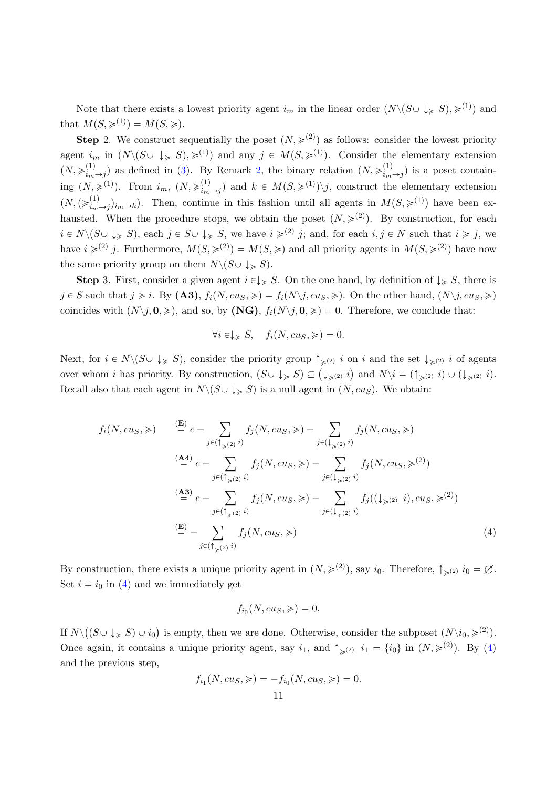Note that there exists a lowest priority agent  $i_m$  in the linear order  $(N\setminus (S\cup \downarrow_S S), \geq 1)$  and that  $M(S, \geqslant^{(1)}) = M(S, \geqslant).$ 

**Step 2.** We construct sequentially the poset  $(N, \geq 1^2)$  as follows: consider the lowest priority agent  $i_m$  in  $(N\setminus (S\cup \downarrow_{\geq S}), \geq 1)$  and any  $j \in M(S, \geq 1)$ . Consider the elementary extension  $(N, \geqslant_{i_m}^{(1)})$  $\binom{1}{i_m\rightarrow j}$  as defined in (3). By Remark 2, the binary relation  $(N, \geqslant_{i_m}^{(1)})$  $\binom{1}{i_m}\rightarrow j$  is a poset containing  $(N, \geqslant^{(1)})$ . From  $i_m$ ,  $(N, \geqslant^{(1)}_{i_m})$  $\binom{1}{i_m\rightarrow j}$  and  $k \in M(S, \geq 1) \setminus j$ , construct the elementary extension  $(N,(\geqslant_{i_m}^{(1)}))$  $\lim_{(i,j)\to(i_m\to j)}$ . Then, continue in this fashion until all agents in  $M(S,\geq 1)$  have been exhausted. When the procedure stops, we obtain the poset  $(N, \geq 2)$ . By construction, for each  $i \in N \setminus (S \cup \downarrow_{\geqslant} S)$ , each  $j \in S \cup \downarrow_{\geqslant} S$ , we have  $i \geqslant^{(2)} j$ ; and, for each  $i, j \in N$  such that  $i \geqslant j$ , we have  $i \geqslant^{(2)} j$ . Furthermore,  $M(S, \geqslant^{(2)}) = M(S, \geqslant)$  and all priority agents in  $M(S, \geqslant^{(2)})$  have now the same priority group on them  $N \setminus (S \cup \downarrow_{\geq S})$ .

**Step 3.** First, consider a given agent  $i \in \{0\}$  S. On the one hand, by definition of  $\{0\}$  S, there is  $j \in S$  such that  $j \geq i$ . By  $(A3)$ ,  $f_i(N, c u_s, \geqslant) = f_i(N \setminus j, c u_s, \geqslant)$ . On the other hand,  $(N \setminus j, c u_s, \geqslant)$ coincides with  $(N\setminus j, 0, \geqslant)$ , and so, by (NG),  $f_i(N\setminus j, 0, \geqslant) = 0$ . Therefore, we conclude that:

$$
\forall i \in \downarrow_{\geq} S, \quad f_i(N, c u_S, \geqslant) = 0.
$$

Next, for  $i \in N \setminus (S \cup \downarrow \geqslant S)$ , consider the priority group  $\uparrow \geqslant^{(2)} i$  on i and the set  $\downarrow \geqslant^{(2)} i$  of agents over whom *i* has priority. By construction,  $(S \cup \{a\}) \subseteq (\{a\})$  and  $N \setminus i = (\uparrow_{\geqslant(2)} i) \cup (\downarrow_{\geqslant(2)} i)$ . Recall also that each agent in  $N\backslash (S\cup \downarrow_{\geqslant} S)$  is a null agent in  $(N, c u_s)$ . We obtain:

$$
f_i(N, c u_S, \geqslant) \qquad \stackrel{\text{(E)}}{=} c - \sum_{j \in (\uparrow_{\geqslant (2)} i)} f_j(N, c u_S, \geqslant) - \sum_{j \in (\downarrow_{\geqslant (2)} i)} f_j(N, c u_S, \geqslant)
$$
\n
$$
\stackrel{\text{(A4)}}{=} c - \sum_{j \in (\uparrow_{\geqslant (2)} i)} f_j(N, c u_S, \geqslant) - \sum_{j \in (\downarrow_{\geqslant (2)} i)} f_j(N, c u_S, \geqslant^{(2)})
$$
\n
$$
\stackrel{\text{(A3)}}{=} c - \sum_{j \in (\uparrow_{\geqslant (2)} i)} f_j(N, c u_S, \geqslant) - \sum_{j \in (\downarrow_{\geqslant (2)} i)} f_j((\downarrow_{\geqslant (2)} i), c u_S, \geqslant^{(2)})
$$
\n
$$
\stackrel{\text{(E)}}{=} - \sum_{j \in (\uparrow_{\geqslant (2)} i)} f_j(N, c u_S, \geqslant) \qquad (4)
$$

By construction, there exists a unique priority agent in  $(N, \geq 2)$ , say  $i_0$ . Therefore,  $\uparrow_{\geq 2} i_0 = \emptyset$ . Set  $i = i_0$  in (4) and we immediately get

$$
f_{i_0}(N, c u_S, \geqslant) = 0.
$$

If  $N\setminus$  $(S \cup \downarrow_{\geq} S) \cup i_0$ is empty, then we are done. Otherwise, consider the subposet  $(N\backslash i_0, \geq 2)$ . Once again, it contains a unique priority agent, say  $i_1$ , and  $\uparrow_{\geq 0} i_1 = \{i_0\}$  in  $(N, \geq 0)$ . By (4) and the previous step,

$$
f_{i_1}(N, c u_S, \geqslant) = -f_{i_0}(N, c u_S, \geqslant) = 0.
$$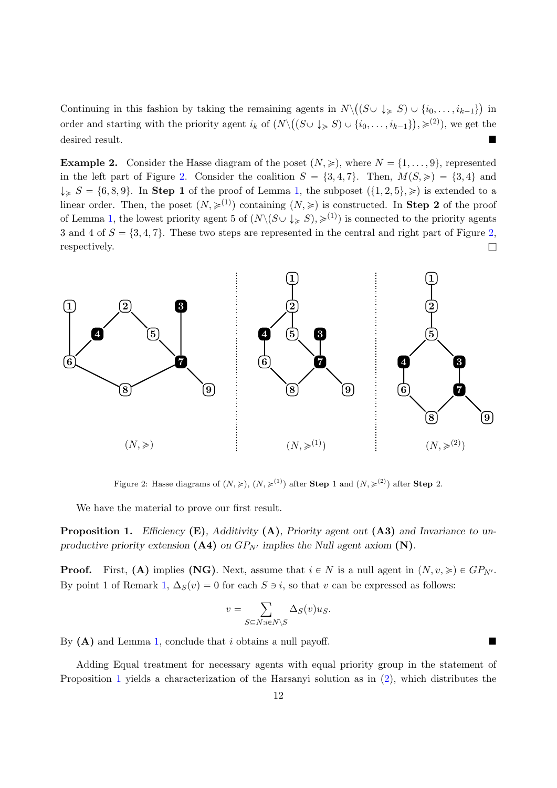Continuing in this fashion by taking the remaining agents in  $N \setminus ((S \cup \downarrow \geq S) \cup \{i_0, \ldots, i_{k-1}\})$  in order and starting with the priority agent  $i_k$  of  $(N \setminus ((S \cup \downarrow \geq S) \cup \{i_0, \ldots, i_{k-1}\}), \geqslant^{(2)}),$  we get the desired result.

**Example 2.** Consider the Hasse diagram of the poset  $(N, \geq)$ , where  $N = \{1, \ldots, 9\}$ , represented in the left part of Figure 2. Consider the coalition  $S = \{3, 4, 7\}$ . Then,  $M(S, \geqslant) = \{3, 4\}$  and  $\downarrow_{\geq} S = \{6, 8, 9\}.$  In Step 1 of the proof of Lemma 1, the subposet  $(\{1, 2, 5\}, \geqslant)$  is extended to a linear order. Then, the poset  $(N, \geq 1)$  containing  $(N, \geq 1)$  is constructed. In **Step 2** of the proof of Lemma 1, the lowest priority agent 5 of  $(N\setminus (S\cup \downarrow_S S), \geq 1)$  is connected to the priority agents 3 and 4 of  $S = \{3, 4, 7\}$ . These two steps are represented in the central and right part of Figure 2, respectively.  $\Box$ 



Figure 2: Hasse diagrams of  $(N, \geq), (N, \geq 1)$  after **Step** 1 and  $(N, \geq 1)$  after **Step** 2.

We have the material to prove our first result.

**Proposition 1.** Efficiency  $(E)$ , Additivity  $(A)$ , Priority agent out  $(A3)$  and Invariance to unproductive priority extension (A4) on  $GP_{N'}$  implies the Null agent axiom (N).

**Proof.** First, (A) implies (NG). Next, assume that  $i \in N$  is a null agent in  $(N, v, \geq) \in GP_{N'}$ . By point 1 of Remark 1,  $\Delta_S(v) = 0$  for each  $S \ni i$ , so that v can be expressed as follows:

$$
v = \sum_{S \subseteq N: i \in N \backslash S} \Delta_S(v) u_S.
$$

By  $(A)$  and Lemma 1, conclude that i obtains a null payoff.

Adding Equal treatment for necessary agents with equal priority group in the statement of Proposition 1 yields a characterization of the Harsanyi solution as in (2), which distributes the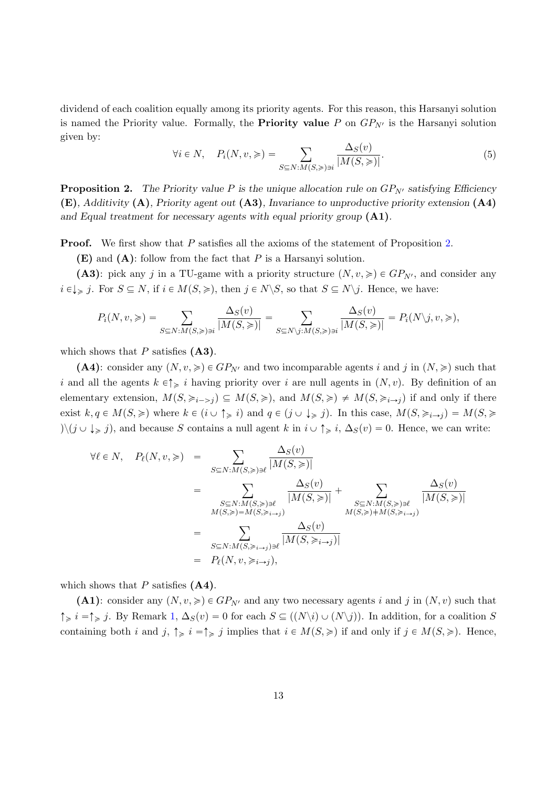dividend of each coalition equally among its priority agents. For this reason, this Harsanyi solution is named the Priority value. Formally, the **Priority value** P on  $GP_{N'}$  is the Harsanyi solution given by:

$$
\forall i \in N, \quad P_i(N, v, \geqslant) = \sum_{S \subseteq N: M(S, \geqslant) \ni i} \frac{\Delta_S(v)}{|M(S, \geqslant)|}.
$$
\n
$$
(5)
$$

**Proposition 2.** The Priority value P is the unique allocation rule on  $GP_{N'}$  satisfying Efficiency (E), Additivity (A), Priority agent out (A3), Invariance to unproductive priority extension (A4) and Equal treatment for necessary agents with equal priority group  $(A1)$ .

Proof. We first show that P satisfies all the axioms of the statement of Proposition 2.

 $(E)$  and  $(A)$ : follow from the fact that P is a Harsanyi solution.

(A3): pick any j in a TU-game with a priority structure  $(N, v, \geqslant) \in GP_{N'}$ , and consider any  $i \in \downarrow_{\geqslant} j$ . For  $S \subseteq N$ , if  $i \in M(S, \geqslant)$ , then  $j \in N \backslash S$ , so that  $S \subseteq N \backslash j$ . Hence, we have:

$$
P_i(N, v, \geqslant) = \sum_{S \subseteq N: M(S, \geqslant) \ni i} \frac{\Delta_S(v)}{|M(S, \geqslant)|} = \sum_{S \subseteq N \setminus j: M(S, \geqslant) \ni i} \frac{\Delta_S(v)}{|M(S, \geqslant)|} = P_i(N \setminus j, v, \geqslant),
$$

which shows that  $P$  satisfies  $(A3)$ .

(A4): consider any  $(N, v, \geqslant) \in GP_{N'}$  and two incomparable agents i and j in  $(N, \geqslant)$  such that i and all the agents  $k \in \uparrow \geq i$  having priority over i are null agents in  $(N, v)$ . By definition of an elementary extension,  $M(S, \geq i \to j) \subseteq M(S, \geq j)$ , and  $M(S, \geq j \neq M(S, \geq i \to j)$  if and only if there exist  $k, q \in M(S, \geqslant)$  where  $k \in (i \cup \uparrow_{\geqslant} i)$  and  $q \in (j \cup \downarrow_{\geqslant} j)$ . In this case,  $M(S, \geqslant_{i \to j}) = M(S, \geqslant)$  $\langle y \rangle (j \cup \downarrow \geq j)$ , and because S contains a null agent k in  $i \cup \uparrow \geq i$ ,  $\Delta_S(v) = 0$ . Hence, we can write:

$$
\forall \ell \in N, \quad P_{\ell}(N, v, \geqslant) = \sum_{S \subseteq N: M(S, \geqslant) \ni \ell} \frac{\Delta_{S}(v)}{|M(S, \geqslant)|} \\ = \sum_{\substack{S \subseteq N: M(S, \geqslant) \ni \ell \\ M(S, \geqslant) = M(S, \geqslant_{i \to j})}} \frac{\Delta_{S}(v)}{|M(S, \geqslant)|} + \sum_{\substack{S \subseteq N: M(S, \geqslant) \ni \ell \\ M(S, \geqslant) \neq M(S, \geqslant_{i \to j})}} \frac{\Delta_{S}(v)}{|M(S, \geqslant)|} \\ = \sum_{\substack{S \subseteq N: M(S, \geqslant_{i \to j}) \ni \ell}} \frac{\Delta_{S}(v)}{|M(S, \geqslant_{i \to j})|} \\ = P_{\ell}(N, v, \geqslant_{i \to j}),
$$

which shows that  $P$  satisfies  $(A4)$ .

(A1): consider any  $(N, v, \geqslant) \in GP_{N'}$  and any two necessary agents i and j in  $(N, v)$  such that  $\uparrow \geq i$  =  $\uparrow \geq j$ . By Remark 1,  $\Delta_S(v) = 0$  for each  $S \subseteq ((N\setminus i) \cup (N\setminus j))$ . In addition, for a coalition S containing both i and j,  $\uparrow \geq i = \uparrow \geq j$  implies that  $i \in M(S, \geq)$  if and only if  $j \in M(S, \geq)$ . Hence,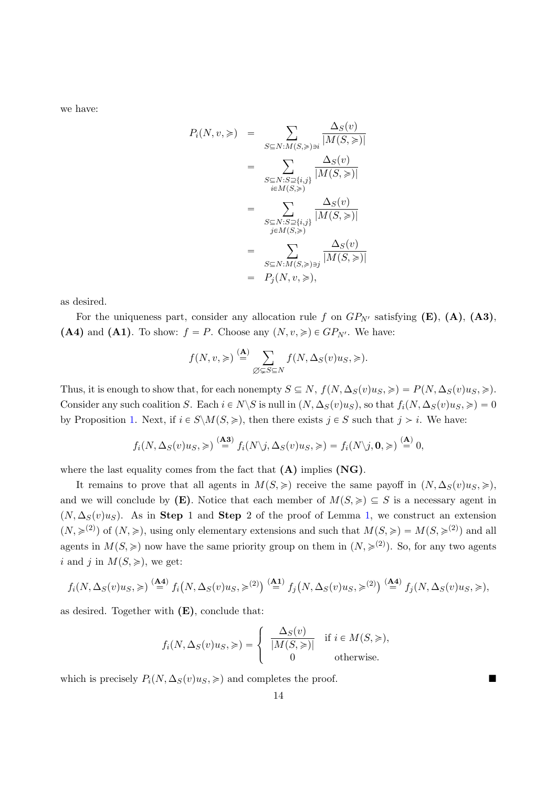we have:

$$
P_i(N, v, \geqslant) = \sum_{S \subseteq N: M(S, \geqslant) \ni i} \frac{\Delta_S(v)}{|M(S, \geqslant)|}
$$
  

$$
= \sum_{\substack{S \subseteq N: S \supseteq \{i, j\} \\ i \in M(S, \geqslant)}} \frac{\Delta_S(v)}{|M(S, \geqslant)|}
$$
  

$$
= \sum_{\substack{S \subseteq N: S \supseteq \{i, j\} \\ j \in M(S, \geqslant)}} \frac{\Delta_S(v)}{|M(S, \geqslant)|}
$$
  

$$
= \sum_{\substack{S \subseteq N: M(S, \geqslant) \ni j}} \frac{\Delta_S(v)}{|M(S, \geqslant)|}
$$
  

$$
= P_j(N, v, \geqslant),
$$

as desired.

For the uniqueness part, consider any allocation rule f on  $GP_{N'}$  satisfying (E), (A), (A3), (A4) and (A1). To show:  $f = P$ . Choose any  $(N, v, \geq) \in GP_{N'}$ . We have:

$$
f(N, v, \geqslant) \stackrel{\textbf{(A)}}{=} \sum_{\emptyset \subsetneq S \subseteq N} f(N, \Delta_S(v)u_S, \geqslant).
$$

Thus, it is enough to show that, for each nonempty  $S \subseteq N$ ,  $f(N, \Delta_S(v)u_S, \geqslant) = P(N, \Delta_S(v)u_S, \geqslant)$ . Consider any such coalition S. Each  $i \in N\backslash S$  is null in  $(N, \Delta_S(v)u_S)$ , so that  $f_i(N, \Delta_S(v)u_S, \geqslant) = 0$ by Proposition 1. Next, if  $i \in S \backslash M(S, \geq)$ , then there exists  $j \in S$  such that  $j > i$ . We have:

$$
f_i(N, \Delta_S(v)u_S, \geqslant) \stackrel{\textbf{(A3)}}{=} f_i(N\backslash j, \Delta_S(v)u_S, \geqslant) = f_i(N\backslash j, \mathbf{0}, \geqslant) \stackrel{\textbf{(A)}}{=} 0,
$$

where the last equality comes from the fact that  $(A)$  implies  $(NG)$ .

It remains to prove that all agents in  $M(S, \geq)$  receive the same payoff in  $(N, \Delta_S(v)u_S, \geq),$ and we will conclude by (E). Notice that each member of  $M(S, \geqslant) \subseteq S$  is a necessary agent in  $(N, \Delta_S(v)u_S)$ . As in Step 1 and Step 2 of the proof of Lemma 1, we construct an extension  $(N, \geqslant^{(2)})$  of  $(N, \geqslant)$ , using only elementary extensions and such that  $M(S, \geqslant) = M(S, \geqslant^{(2)})$  and all agents in  $M(S, \geqslant)$  now have the same priority group on them in  $(N, \geqslant^{(2)})$ . So, for any two agents i and j in  $M(S, \geqslant)$ , we get:

$$
f_i(N,\Delta_S(v)u_S,\geqslant)\stackrel{\textbf{(A4)}}{=} f_i\big(N,\Delta_S(v)u_S,\geqslant^{(2)}\big)\stackrel{\textbf{(A1)}}{=} f_j\big(N,\Delta_S(v)u_S,\geqslant^{(2)}\big)\stackrel{\textbf{(A4)}}{=} f_j(N,\Delta_S(v)u_S,\geqslant),
$$

as desired. Together with  $(E)$ , conclude that:

$$
f_i(N, \Delta_S(v)u_S, \geqslant) = \begin{cases} \frac{\Delta_S(v)}{|M(S, \geqslant)|} & \text{if } i \in M(S, \geqslant), \\ 0 & \text{otherwise.} \end{cases}
$$

which is precisely  $P_i(N, \Delta_S(v)u_s, \geqslant)$  and completes the proof.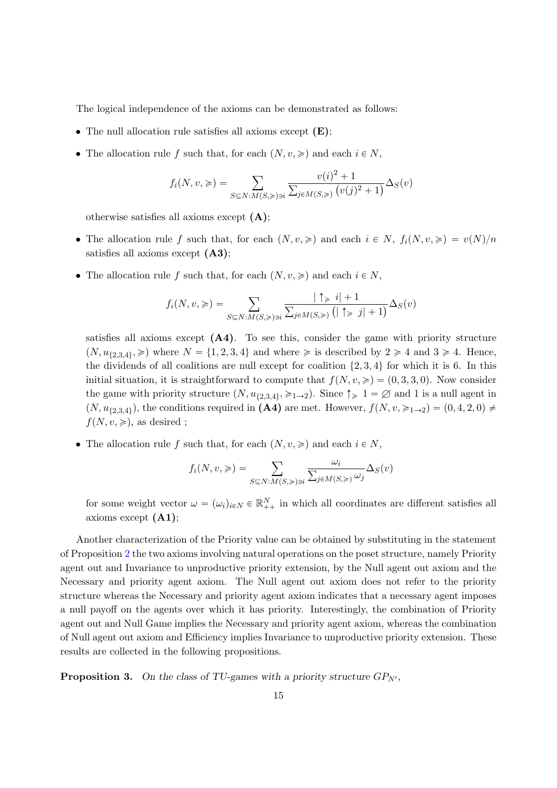The logical independence of the axioms can be demonstrated as follows:

- The null allocation rule satisfies all axioms except  $(E)$ ;
- The allocation rule f such that, for each  $(N, v, \geqslant)$  and each  $i \in N$ ,

$$
f_i(N, v, \geqslant) = \sum_{S \subseteq N: M(S, \geqslant) \ni i} \frac{v(i)^2 + 1}{\sum_{j \in M(S, \geqslant)} (v(j)^2 + 1)} \Delta_S(v)
$$

otherwise satisfies all axioms except  $(A)$ ;

- The allocation rule f such that, for each  $(N, v, \geqslant)$  and each  $i \in N$ ,  $f_i(N, v, \geqslant) = v(N)/n$ satisfies all axioms except  $(A3)$ ;
- The allocation rule f such that, for each  $(N, v, \geqslant)$  and each  $i \in N$ ,

$$
f_i(N, v, \geqslant) = \sum_{S \subseteq N: M(S, \geqslant) \ni i} \frac{|\uparrow_{\geqslant} i| + 1}{\sum_{j \in M(S, \geqslant)} (|\uparrow_{\geqslant} j| + 1)} \Delta_S(v)
$$

satisfies all axioms except  $(A4)$ . To see this, consider the game with priority structure  $(N, u_{\{2,3,4\}}, \geqslant)$  where  $N = \{1, 2, 3, 4\}$  and where  $\geqslant$  is described by  $2 \geqslant 4$  and  $3 \geqslant 4$ . Hence, the dividends of all coalitions are null except for coalition  $\{2, 3, 4\}$  for which it is 6. In this initial situation, it is straightforward to compute that  $f(N, v, \geqslant) = (0, 3, 3, 0)$ . Now consider the game with priority structure  $(N, u_{\{2,3,4\}}, \geqslant_{1\to 2})$ . Since  $\uparrow \geqslant 1 = \varnothing$  and 1 is a null agent in  $(N, u_{2,3,4})$ , the conditions required in  $(A4)$  are met. However,  $f(N, v, \geq 1 \rightarrow 2) = (0, 4, 2, 0) \neq 0$  $f(N, v, \geqslant)$ , as desired ;

• The allocation rule f such that, for each  $(N, v, \geqslant)$  and each  $i \in N$ ,

$$
f_i(N, v, \geqslant) = \sum_{S \subseteq N: M(S, \geqslant) \ni i} \frac{\omega_i}{\sum_{j \in M(S, \geqslant)} \omega_j} \Delta_S(v)
$$

for some weight vector  $\omega = (\omega_i)_{i \in N} \in \mathbb{R}^N_{++}$  in which all coordinates are different satisfies all axioms except (A1);

Another characterization of the Priority value can be obtained by substituting in the statement of Proposition 2 the two axioms involving natural operations on the poset structure, namely Priority agent out and Invariance to unproductive priority extension, by the Null agent out axiom and the Necessary and priority agent axiom. The Null agent out axiom does not refer to the priority structure whereas the Necessary and priority agent axiom indicates that a necessary agent imposes a null payoff on the agents over which it has priority. Interestingly, the combination of Priority agent out and Null Game implies the Necessary and priority agent axiom, whereas the combination of Null agent out axiom and Efficiency implies Invariance to unproductive priority extension. These results are collected in the following propositions.

**Proposition 3.** On the class of TU-games with a priority structure  $GP_{N'}$ ,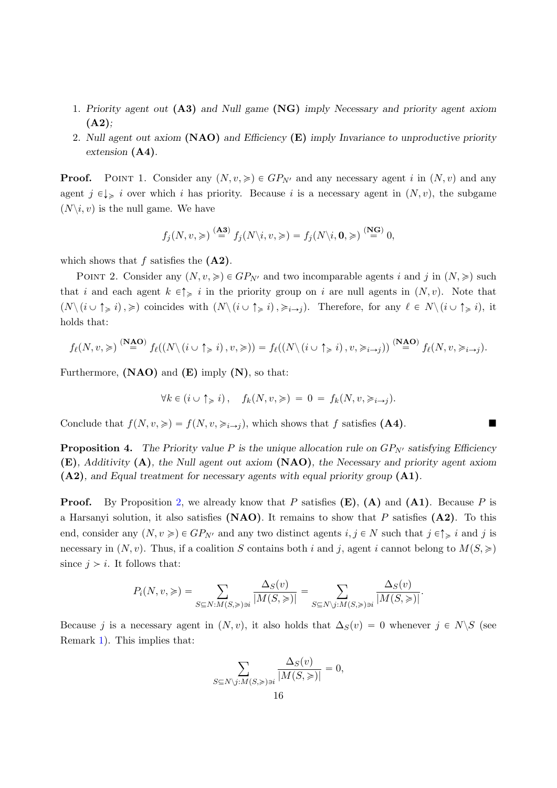- 1. Priority agent out (A3) and Null game (NG) imply Necessary and priority agent axiom  $(A2)$ :
- 2. Null agent out axiom  $(NAO)$  and Efficiency  $(E)$  imply Invariance to unproductive priority extension (A4).

**Proof.** POINT 1. Consider any  $(N, v, \geq) \in GP_{N'}$  and any necessary agent i in  $(N, v)$  and any agent  $j \in \downarrow \geq i$  over which i has priority. Because i is a necessary agent in  $(N, v)$ , the subgame  $(N\backslash i, v)$  is the null game. We have

$$
f_j(N, v, \geqslant) \stackrel{\textbf{(A3)}}{=} f_j(N\backslash i, v, \geqslant) = f_j(N\backslash i, \mathbf{0}, \geqslant) \stackrel{\textbf{(NG)}}{=} 0,
$$

which shows that  $f$  satisfies the  $(A2)$ .

POINT 2. Consider any  $(N, v, \geqslant) \in GP_{N'}$  and two incomparable agents i and j in  $(N, \geqslant)$  such that i and each agent  $k \in \uparrow \geq i$  in the priority group on i are null agents in  $(N, v)$ . Note that  $(N \setminus (i \cup \uparrow \geq i), \geqslant)$  coincides with  $(N \setminus (i \cup \uparrow \geq i), \geqslant_{i \to j})$ . Therefore, for any  $\ell \in N \setminus (i \cup \uparrow \geq i)$ , it holds that:

$$
f_{\ell}(N, v, \geqslant) \stackrel{\mathbf{(NAO)}}{=} f_{\ell}((N \setminus (i \cup \uparrow_{\geqslant} i), v, \geqslant)) = f_{\ell}((N \setminus (i \cup \uparrow_{\geqslant} i), v, \geqslant_{i \to j})) \stackrel{\mathbf{(NAO)}}{=} f_{\ell}(N, v, \geqslant_{i \to j}).
$$

Furthermore,  $(NAO)$  and  $(E)$  imply  $(N)$ , so that:

$$
\forall k \in (i \cup \uparrow_{\geq i}), \quad f_k(N, v, \geqslant) = 0 = f_k(N, v, \geqslant_{i \to j}).
$$

Conclude that  $f(N, v, \geqslant) = f(N, v, \geqslant_{i\to j})$ , which shows that f satisfies (A4).

**Proposition 4.** The Priority value P is the unique allocation rule on  $GP_{N'}$  satisfying Efficiency  $(E)$ , Additivity  $(A)$ , the Null agent out axiom  $(NAO)$ , the Necessary and priority agent axiom (A2), and Equal treatment for necessary agents with equal priority group (A1).

**Proof.** By Proposition 2, we already know that P satisfies  $(E)$ ,  $(A)$  and  $(A1)$ . Because P is a Harsanyi solution, it also satisfies  $(NAO)$ . It remains to show that P satisfies  $(A2)$ . To this end, consider any  $(N, v \geqslant) \in GP_{N'}$  and any two distinct agents  $i, j \in N$  such that  $j \in \uparrow \geqslant i$  and j is necessary in  $(N, v)$ . Thus, if a coalition S contains both i and j, agent i cannot belong to  $M(S, \geq)$ since  $j > i$ . It follows that:

$$
P_i(N, v, \geqslant) = \sum_{S \subseteq N: M(S, \geqslant) \ni i} \frac{\Delta_S(v)}{|M(S, \geqslant)|} = \sum_{S \subseteq N\setminus j: M(S, \geqslant) \ni i} \frac{\Delta_S(v)}{|M(S, \geqslant)|}.
$$

Because j is a necessary agent in  $(N, v)$ , it also holds that  $\Delta_S(v) = 0$  whenever  $j \in N\backslash S$  (see Remark 1). This implies that:

$$
\sum_{S \subseteq N \setminus j: M(S, \geqslant) \ni i} \frac{\Delta_S(v)}{|M(S, \geqslant)|} = 0,
$$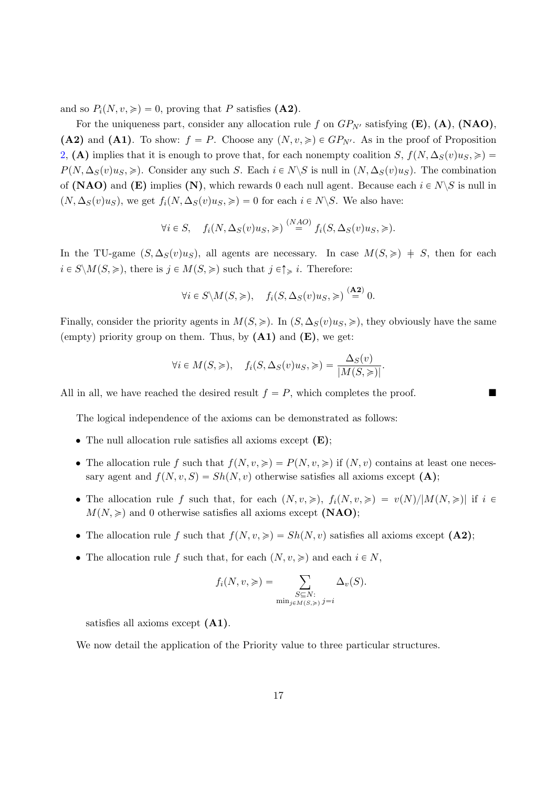and so  $P_i(N, v, \geqslant) = 0$ , proving that P satisfies (A2).

For the uniqueness part, consider any allocation rule f on  $GP_{N'}$  satisfying  $(E)$ ,  $(A)$ ,  $(NAO)$ , (A2) and (A1). To show:  $f = P$ . Choose any  $(N, v, \geq) \in GP_{N'}$ . As in the proof of Proposition 2, (A) implies that it is enough to prove that, for each nonempty coalition S,  $f(N, \Delta_S(v)u_S, \geqslant)$  $P(N, \Delta_S(v)u_S, \geqslant)$ . Consider any such S. Each  $i \in N\backslash S$  is null in  $(N, \Delta_S(v)u_S)$ . The combination of (NAO) and (E) implies (N), which rewards 0 each null agent. Because each  $i \in N \backslash S$  is null in  $(N, \Delta_S(v)u_S)$ , we get  $f_i(N, \Delta_S(v)u_S, \geqslant) = 0$  for each  $i \in N \backslash S$ . We also have:

$$
\forall i \in S, \quad f_i(N, \Delta_S(v)u_S, \geqslant) \stackrel{(NAO)}{=} f_i(S, \Delta_S(v)u_S, \geqslant).
$$

In the TU-game  $(S, \Delta_S(v)u_S)$ , all agents are necessary. In case  $M(S, \geq) \neq S$ , then for each  $i \in S \backslash M(S, \geqslant)$ , there is  $j \in M(S, \geqslant)$  such that  $j \in \uparrow \geqslant i$ . Therefore:

$$
\forall i \in S \setminus M(S, \geq), \quad f_i(S, \Delta_S(v)u_S, \geq) \stackrel{\text{(A2)}}{=} 0.
$$

Finally, consider the priority agents in  $M(S, \geq)$ . In  $(S, \Delta_S(v)u_s, \geq)$ , they obviously have the same (empty) priority group on them. Thus, by  $(A1)$  and  $(E)$ , we get:

$$
\forall i \in M(S, \geqslant), \quad f_i(S, \Delta_S(v)u_S, \geqslant) = \frac{\Delta_S(v)}{|M(S, \geqslant)|}.
$$

All in all, we have reached the desired result  $f = P$ , which completes the proof.

The logical independence of the axioms can be demonstrated as follows:

- The null allocation rule satisfies all axioms except  $(E)$ ;
- The allocation rule f such that  $f(N, v, \geqslant) = P(N, v, \geqslant)$  if  $(N, v)$  contains at least one necessary agent and  $f(N, v, S) = Sh(N, v)$  otherwise satisfies all axioms except (A);
- The allocation rule f such that, for each  $(N, v, \geqslant), f_i(N, v, \geqslant) = v(N)/|M(N, \geqslant)|$  if  $i \in$  $M(N, \geqslant)$  and 0 otherwise satisfies all axioms except (NAO);
- The allocation rule f such that  $f(N, v, \geqslant) = Sh(N, v)$  satisfies all axioms except (A2);
- The allocation rule f such that, for each  $(N, v, \geqslant)$  and each  $i \in N$ ,

$$
f_i(N, v, \geqslant) = \sum_{\substack{S \subseteq N:\\ \min_{j \in M(S, \geqslant)} j = i}} \Delta_v(S).
$$

satisfies all axioms except (A1).

We now detail the application of the Priority value to three particular structures.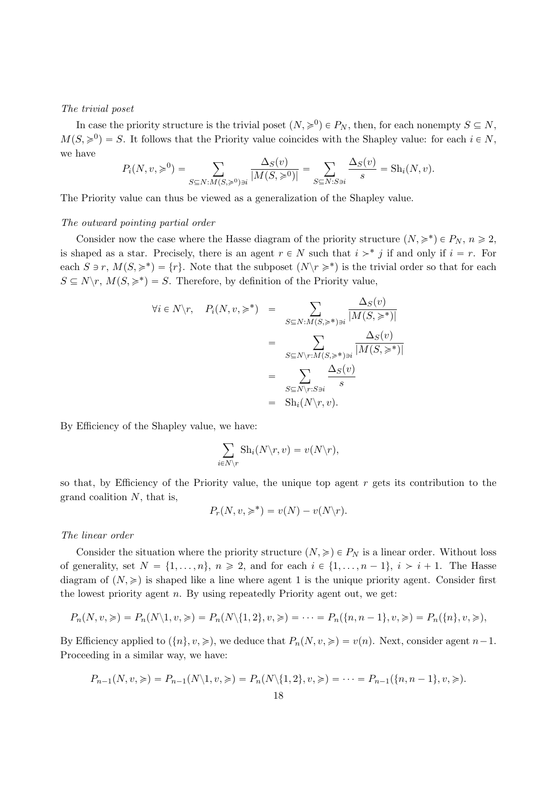#### The trivial poset

In case the priority structure is the trivial poset  $(N, \geq 0) \in P_N$ , then, for each nonempty  $S \subseteq N$ ,  $M(S, \geq 0) = S$ . It follows that the Priority value coincides with the Shapley value: for each  $i \in N$ , we have

$$
P_i(N, v, \geq 0) = \sum_{S \subseteq N: M(S, \geq 0) \ni i} \frac{\Delta_S(v)}{|M(S, \geq 0)|} = \sum_{S \subseteq N: S \ni i} \frac{\Delta_S(v)}{s} = \text{Sh}_i(N, v).
$$

The Priority value can thus be viewed as a generalization of the Shapley value.

#### The outward pointing partial order

Consider now the case where the Hasse diagram of the priority structure  $(N, \geq) \in P_N$ ,  $n \geq 2$ , is shaped as a star. Precisely, there is an agent  $r \in N$  such that  $i >^* j$  if and only if  $i = r$ . For each  $S \ni r$ ,  $M(S, \geq^*) = \{r\}$ . Note that the subposet  $(N\backslash r \geq^*)$  is the trivial order so that for each  $S \subseteq N \backslash r$ ,  $M(S, \geq^*) = S$ . Therefore, by definition of the Priority value,

$$
\forall i \in N \setminus r, \quad P_i(N, v, \geq^*) = \sum_{S \subseteq N: M(S, \geq^*) \ni i} \frac{\Delta_S(v)}{|M(S, \geq^*)|} \\
= \sum_{S \subseteq N \setminus r: M(S, \geq^*) \ni i} \frac{\Delta_S(v)}{|M(S, \geq^*)|} \\
= \sum_{S \subseteq N \setminus r: S \ni i} \frac{\Delta_S(v)}{s} \\
= \text{Sh}_i(N \setminus r, v).
$$

By Efficiency of the Shapley value, we have:

$$
\sum_{i \in N \setminus r} \mathrm{Sh}_i(N \setminus r, v) = v(N \setminus r),
$$

so that, by Efficiency of the Priority value, the unique top agent  $r$  gets its contribution to the grand coalition N, that is,

$$
P_r(N, v, \geqslant^*) = v(N) - v(N\backslash r).
$$

#### The linear order

Consider the situation where the priority structure  $(N, \geqslant) \in P_N$  is a linear order. Without loss of generality, set  $N = \{1, \ldots, n\}$ ,  $n \ge 2$ , and for each  $i \in \{1, \ldots, n-1\}$ ,  $i > i + 1$ . The Hasse diagram of  $(N, \geqslant)$  is shaped like a line where agent 1 is the unique priority agent. Consider first the lowest priority agent  $n$ . By using repeatedly Priority agent out, we get:

$$
P_n(N, v, \geqslant) = P_n(N \setminus 1, v, \geqslant) = P_n(N \setminus \{1, 2\}, v, \geqslant) = \cdots = P_n(\{n, n-1\}, v, \geqslant) = P_n(\{n\}, v, \geqslant),
$$

By Efficiency applied to  $(\{n\}, v, \geqslant),$  we deduce that  $P_n(N, v, \geqslant) = v(n)$ . Next, consider agent  $n-1$ . Proceeding in a similar way, we have:

$$
P_{n-1}(N, v, \geqslant) = P_{n-1}(N\setminus 1, v, \geqslant) = P_n(N\setminus \{1, 2\}, v, \geqslant) = \cdots = P_{n-1}(\{n, n-1\}, v, \geqslant).
$$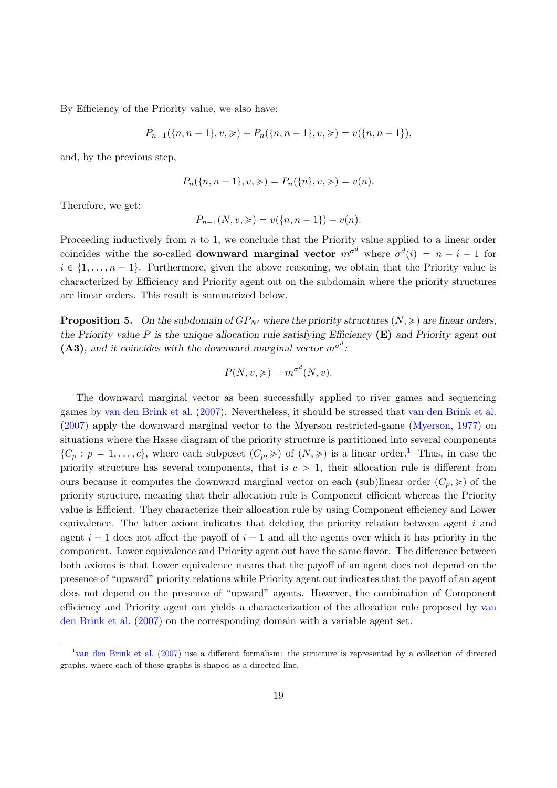By Efficiency of the Priority value, we also have:

$$
P_{n-1}(\{n, n-1\}, v, \geqslant) + P_n(\{n, n-1\}, v, \geqslant) = v(\{n, n-1\}),
$$

and, by the previous step,

$$
P_n(\{n, n-1\}, v, \geqslant) = P_n(\{n\}, v, \geqslant) = v(n).
$$

Therefore, we get:

$$
P_{n-1}(N, v, \geqslant) = v(\{n, n-1\}) - v(n).
$$

Proceeding inductively from  $n$  to 1, we conclude that the Priority value applied to a linear order coincides withe the so-called **downward marginal vector**  $m^{\sigma^d}$  where  $\sigma^d(i) = n - i + 1$  for  $i \in \{1, \ldots, n-1\}$ . Furthermore, given the above reasoning, we obtain that the Priority value is characterized by Efficiency and Priority agent out on the subdomain where the priority structures are linear orders. This result is summarized below.

**Proposition 5.** On the subdomain of  $GP_{N'}$  where the priority structures  $(N, \geq)$  are linear orders, the Priority value P is the unique allocation rule satisfying Efficiency  $(E)$  and Priority agent out (A3), and it coincides with the downward marginal vector  $m^{\sigma^d}$ :

$$
P(N, v, \geqslant) = m^{\sigma^d}(N, v).
$$

The downward marginal vector as been successfully applied to river games and sequencing games by van den Brink et al. (2007). Nevertheless, it should be stressed that van den Brink et al. (2007) apply the downward marginal vector to the Myerson restricted-game (Myerson, 1977) on situations where the Hasse diagram of the priority structure is partitioned into several components  $\{C_p : p = 1, \ldots, c\}$ , where each subposet  $(C_p, \geqslant)$  of  $(N, \geqslant)$  is a linear order.<sup>1</sup> Thus, in case the priority structure has several components, that is  $c > 1$ , their allocation rule is different from ours because it computes the downward marginal vector on each (sub)linear order  $(C_p, \geqslant)$  of the priority structure, meaning that their allocation rule is Component efficient whereas the Priority value is Efficient. They characterize their allocation rule by using Component efficiency and Lower equivalence. The latter axiom indicates that deleting the priority relation between agent  $i$  and agent  $i + 1$  does not affect the payoff of  $i + 1$  and all the agents over which it has priority in the component. Lower equivalence and Priority agent out have the same flavor. The difference between both axioms is that Lower equivalence means that the payoff of an agent does not depend on the presence of "upward" priority relations while Priority agent out indicates that the payoff of an agent does not depend on the presence of "upward" agents. However, the combination of Component efficiency and Priority agent out yields a characterization of the allocation rule proposed by van den Brink et al. (2007) on the corresponding domain with a variable agent set.

<sup>&</sup>lt;sup>1</sup> van den Brink et al. (2007) use a different formalism: the structure is represented by a collection of directed graphs, where each of these graphs is shaped as a directed line.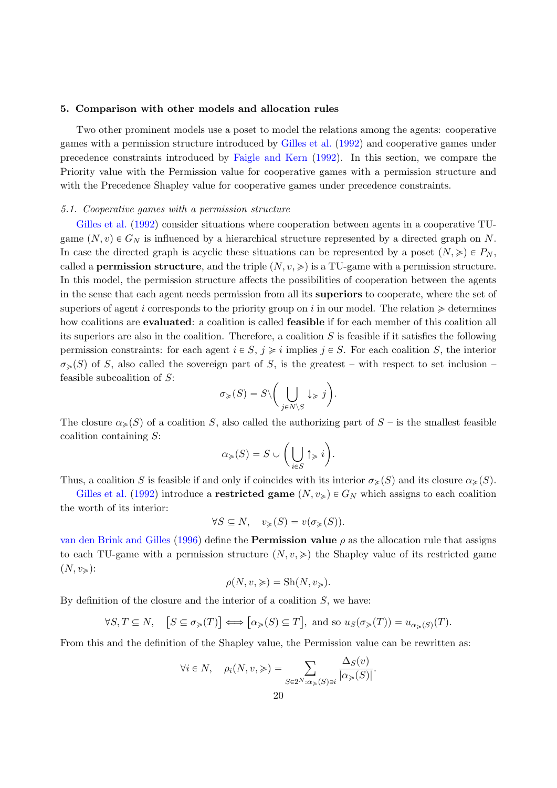#### 5. Comparison with other models and allocation rules

Two other prominent models use a poset to model the relations among the agents: cooperative games with a permission structure introduced by Gilles et al. (1992) and cooperative games under precedence constraints introduced by Faigle and Kern (1992). In this section, we compare the Priority value with the Permission value for cooperative games with a permission structure and with the Precedence Shapley value for cooperative games under precedence constraints.

#### 5.1. Cooperative games with a permission structure

Gilles et al. (1992) consider situations where cooperation between agents in a cooperative TUgame  $(N, v) \in G_N$  is influenced by a hierarchical structure represented by a directed graph on N. In case the directed graph is acyclic these situations can be represented by a poset  $(N, \geq) \in P_N$ , called a **permission structure**, and the triple  $(N, v, \geqslant)$  is a TU-game with a permission structure. In this model, the permission structure affects the possibilities of cooperation between the agents in the sense that each agent needs permission from all its superiors to cooperate, where the set of superiors of agent i corresponds to the priority group on i in our model. The relation  $\geq$  determines how coalitions are **evaluated**: a coalition is called **feasible** if for each member of this coalition all its superiors are also in the coalition. Therefore, a coalition  $S$  is feasible if it satisfies the following permission constraints: for each agent  $i \in S$ ,  $j \geq i$  implies  $j \in S$ . For each coalition S, the interior  $\sigma_{\geqslant}(S)$  of S, also called the sovereign part of S, is the greatest – with respect to set inclusion – feasible subcoalition of S:  $\sqrt{2}$ 

$$
\sigma_{\geqslant}(S)=S\backslash\bigg(\bigcup_{j\in N\backslash S}\downarrow_{\geqslant}j\bigg).
$$

The closure  $\alpha_{\geq}(S)$  of a coalition S, also called the authorizing part of  $S$  – is the smallest feasible coalition containing S:  $\sqrt{2}$ 

$$
\alpha_{\geqslant}(S)=S\cup\bigg(\bigcup_{i\in S}\uparrow_{\geqslant}i\bigg).
$$

Thus, a coalition S is feasible if and only if coincides with its interior  $\sigma_{\geq}(S)$  and its closure  $\alpha_{\geq}(S)$ .

Gilles et al. (1992) introduce a **restricted game**  $(N, v_{\geq}) \in G_N$  which assigns to each coalition the worth of its interior:

$$
\forall S \subseteq N, \quad v_{\geqslant}(S) = v(\sigma_{\geqslant}(S)).
$$

van den Brink and Gilles (1996) define the **Permission value**  $\rho$  as the allocation rule that assigns to each TU-game with a permission structure  $(N, v, \geqslant)$  the Shapley value of its restricted game  $(N, v_{\geqslant})$ :

$$
\rho(N, v, \geqslant) = \text{Sh}(N, v_{\geqslant}).
$$

By definition of the closure and the interior of a coalition  $S$ , we have:

$$
\forall S, T \subseteq N, \quad \left[S \subseteq \sigma_{\geq}(T)\right] \Longleftrightarrow \left[\alpha_{\geq}(S) \subseteq T\right], \text{ and so } u_S(\sigma_{\geq}(T)) = u_{\alpha_{\geq}(S)}(T).
$$

From this and the definition of the Shapley value, the Permission value can be rewritten as:

$$
\forall i \in N, \quad \rho_i(N, v, \geqslant) = \sum_{S \in 2^N : \alpha_{\geqslant}(S) \ni i} \frac{\Delta_S(v)}{|\alpha_{\geqslant}(S)|}.
$$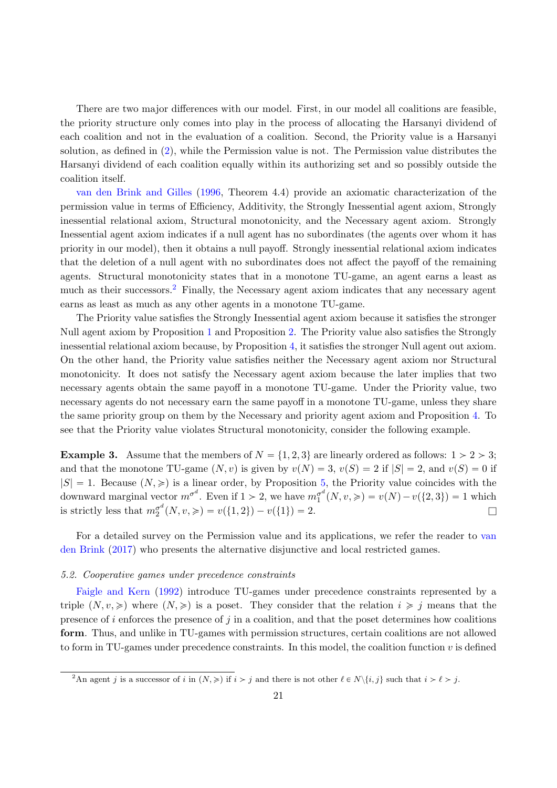There are two major differences with our model. First, in our model all coalitions are feasible, the priority structure only comes into play in the process of allocating the Harsanyi dividend of each coalition and not in the evaluation of a coalition. Second, the Priority value is a Harsanyi solution, as defined in (2), while the Permission value is not. The Permission value distributes the Harsanyi dividend of each coalition equally within its authorizing set and so possibly outside the coalition itself.

van den Brink and Gilles (1996, Theorem 4.4) provide an axiomatic characterization of the permission value in terms of Efficiency, Additivity, the Strongly Inessential agent axiom, Strongly inessential relational axiom, Structural monotonicity, and the Necessary agent axiom. Strongly Inessential agent axiom indicates if a null agent has no subordinates (the agents over whom it has priority in our model), then it obtains a null payoff. Strongly inessential relational axiom indicates that the deletion of a null agent with no subordinates does not affect the payoff of the remaining agents. Structural monotonicity states that in a monotone TU-game, an agent earns a least as much as their successors.<sup>2</sup> Finally, the Necessary agent axiom indicates that any necessary agent earns as least as much as any other agents in a monotone TU-game.

The Priority value satisfies the Strongly Inessential agent axiom because it satisfies the stronger Null agent axiom by Proposition 1 and Proposition 2. The Priority value also satisfies the Strongly inessential relational axiom because, by Proposition 4, it satisfies the stronger Null agent out axiom. On the other hand, the Priority value satisfies neither the Necessary agent axiom nor Structural monotonicity. It does not satisfy the Necessary agent axiom because the later implies that two necessary agents obtain the same payoff in a monotone TU-game. Under the Priority value, two necessary agents do not necessary earn the same payoff in a monotone TU-game, unless they share the same priority group on them by the Necessary and priority agent axiom and Proposition 4. To see that the Priority value violates Structural monotonicity, consider the following example.

**Example 3.** Assume that the members of  $N = \{1, 2, 3\}$  are linearly ordered as follows:  $1 > 2 > 3$ ; and that the monotone TU-game  $(N, v)$  is given by  $v(N) = 3$ ,  $v(S) = 2$  if  $|S| = 2$ , and  $v(S) = 0$  if  $|S| = 1$ . Because  $(N, \geqslant)$  is a linear order, by Proposition 5, the Priority value coincides with the downward marginal vector  $m^{\sigma^d}$ . Even if  $1 > 2$ , we have  $m_1^{\sigma^d}$  $p_1^{\sigma^a}(N, v, \geqslant) = v(N) - v(\lbrace 2, 3 \rbrace) = 1$  which is strictly less that  $m_2^{\sigma^d}$  $\sigma^{\alpha}(N, v, \geqslant) = v(\{1, 2\}) - v(\{1\}) = 2.$ 

For a detailed survey on the Permission value and its applications, we refer the reader to van den Brink (2017) who presents the alternative disjunctive and local restricted games.

#### 5.2. Cooperative games under precedence constraints

Faigle and Kern (1992) introduce TU-games under precedence constraints represented by a triple  $(N, v, \geqslant)$  where  $(N, \geqslant)$  is a poset. They consider that the relation  $i \geqslant j$  means that the presence of  $i$  enforces the presence of  $j$  in a coalition, and that the poset determines how coalitions form. Thus, and unlike in TU-games with permission structures, certain coalitions are not allowed to form in TU-games under precedence constraints. In this model, the coalition function  $v$  is defined

<sup>&</sup>lt;sup>2</sup>An agent j is a successor of i in  $(N, \geqslant)$  if  $i > j$  and there is not other  $\ell \in N\setminus\{i, j\}$  such that  $i > \ell > j$ .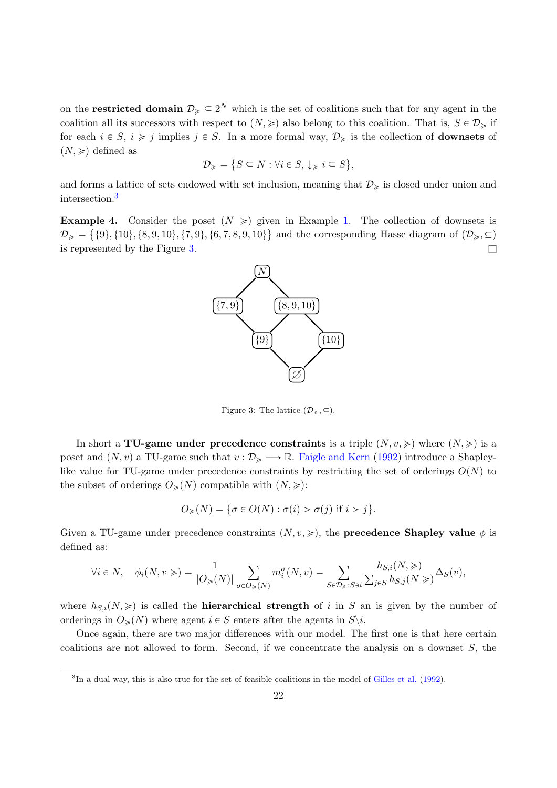on the **restricted domain**  $\mathcal{D}_{\geq \geq 2^N}$  which is the set of coalitions such that for any agent in the coalition all its successors with respect to  $(N, \geqslant)$  also belong to this coalition. That is,  $S \in \mathcal{D}_{\geqslant}$  if for each  $i \in S$ ,  $i \geq j$  implies  $j \in S$ . In a more formal way,  $\mathcal{D}_{\geq j}$  is the collection of **downsets** of  $(N, \geqslant)$  defined as  $\mathbf{r}$ 

$$
\mathcal{D}_\geqslant=\big\{S\subseteq N:\forall i\in S,\ \downarrow_\geqslant i\subseteq S\big\},
$$

and forms a lattice of sets endowed with set inclusion, meaning that  $\mathcal{D}_{\geqslant}$  is closed under union and intersection.<sup>3</sup>

**Example 4.** Consider the poset  $(N \geq)$  given in Example 1. The collection of downsets is  $\mathcal{D}_{\geq \{10\}, \{10\}, \{8, 9, 10\}, \{7, 9\}, \{6, 7, 8, 9, 10\}\}\$ and the corresponding Hasse diagram of  $(\mathcal{D}_{\geqslant}, \subseteq)$ is represented by the Figure 3.  $\Box$ 



Figure 3: The lattice  $(\mathcal{D}_{\geqslant}, \subseteq)$ .

In short a TU-game under precedence constraints is a triple  $(N, v, \geqslant)$  where  $(N, \geqslant)$  is a poset and  $(N, v)$  a TU-game such that  $v : \mathcal{D}_\geq \longrightarrow \mathbb{R}$ . Faigle and Kern (1992) introduce a Shapleylike value for TU-game under precedence constraints by restricting the set of orderings  $O(N)$  to the subset of orderings  $O_{\geqslant}(N)$  compatible with  $(N, \geqslant)$ :

$$
O_{\geqslant}(N) = \{ \sigma \in O(N) : \sigma(i) > \sigma(j) \text{ if } i > j \}.
$$

Given a TU-game under precedence constraints  $(N, v, \geqslant)$ , the **precedence Shapley value**  $\phi$  is defined as:

$$
\forall i \in N, \quad \phi_i(N, v \geqslant) = \frac{1}{|O_{\geqslant}(N)|} \sum_{\sigma \in O_{\geqslant}(N)} m_i^\sigma(N, v) = \sum_{S \in \mathcal{D}_\geqslant: S \ni i} \frac{h_{S,i}(N, \geqslant)}{\sum_{j \in S} h_{S,j}(N \geqslant)} \Delta_S(v),
$$

where  $h_{S,i}(N, \geqslant)$  is called the **hierarchical strength** of i in S an is given by the number of orderings in  $O_{\geq}(N)$  where agent  $i \in S$  enters after the agents in  $S \setminus i$ .

Once again, there are two major differences with our model. The first one is that here certain coalitions are not allowed to form. Second, if we concentrate the analysis on a downset  $S$ , the

<sup>&</sup>lt;sup>3</sup>In a dual way, this is also true for the set of feasible coalitions in the model of Gilles et al. (1992).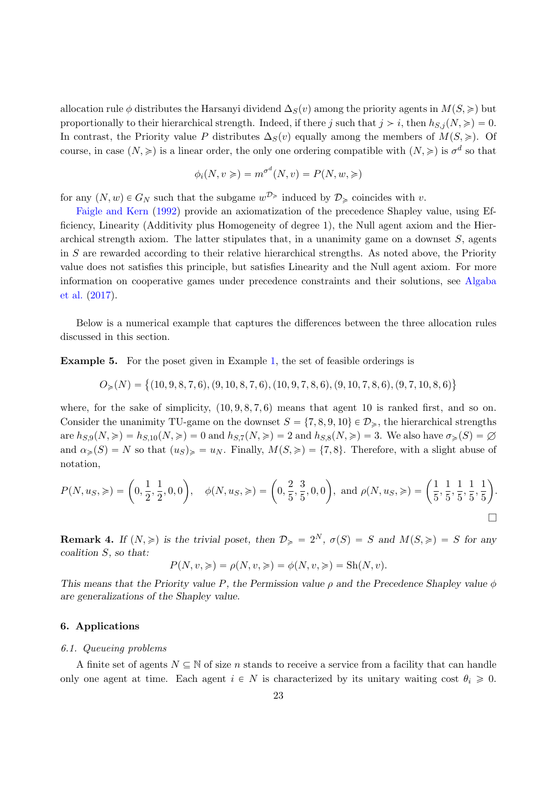allocation rule φ distributes the Harsanyi dividend  $\Delta_S(v)$  among the priority agents in  $M(S, \geqslant)$  but proportionally to their hierarchical strength. Indeed, if there j such that  $j > i$ , then  $h_{S,i}(N, \geqslant) = 0$ . In contrast, the Priority value P distributes  $\Delta_S(v)$  equally among the members of  $M(S, \geqslant)$ . Of course, in case  $(N, \geqslant)$  is a linear order, the only one ordering compatible with  $(N, \geqslant)$  is  $\sigma^d$  so that

$$
\phi_i(N, v \geqslant) = m^{\sigma^d}(N, v) = P(N, w, \geqslant)
$$

for any  $(N, w) \in G_N$  such that the subgame  $w^{\mathcal{D}_{\geq \mathbb{R}}}$  induced by  $\mathcal{D}_{\geq \mathbb{R}}$  coincides with v.

Faigle and Kern (1992) provide an axiomatization of the precedence Shapley value, using Efficiency, Linearity (Additivity plus Homogeneity of degree 1), the Null agent axiom and the Hierarchical strength axiom. The latter stipulates that, in a unanimity game on a downset  $S$ , agents in S are rewarded according to their relative hierarchical strengths. As noted above, the Priority value does not satisfies this principle, but satisfies Linearity and the Null agent axiom. For more information on cooperative games under precedence constraints and their solutions, see Algaba et al. (2017).

Below is a numerical example that captures the differences between the three allocation rules discussed in this section.

Example 5. For the poset given in Example 1, the set of feasible orderings is

$$
O_{\geqslant}(N)=\big\{(10,9,8,7,6),(9,10,8,7,6),(10,9,7,8,6),(9,10,7,8,6),(9,7,10,8,6)\big\}
$$

where, for the sake of simplicity,  $(10, 9, 8, 7, 6)$  means that agent 10 is ranked first, and so on. Consider the unanimity TU-game on the downset  $S = \{7, 8, 9, 10\} \in \mathcal{D}_{\geq 0}$ , the hierarchical strengths are  $h_{S,9}(N, \geqslant) = h_{S,10}(N, \geqslant) = 0$  and  $h_{S,7}(N, \geqslant) = 2$  and  $h_{S,8}(N, \geqslant) = 3$ . We also have  $\sigma_{\geqslant}(S) = \varnothing$ and  $\alpha_{\geqslant}(S) = N$  so that  $(u_S)_{\geqslant} = u_N$ . Finally,  $M(S, \geqslant) = \{7, 8\}$ . Therefore, with a slight abuse of notation,

$$
P(N, uS, \geqslant) = \left(0, \frac{1}{2}, \frac{1}{2}, 0, 0\right), \quad \phi(N, uS, \geqslant) = \left(0, \frac{2}{5}, \frac{3}{5}, 0, 0\right), \text{ and } \rho(N, uS, \geqslant) = \left(\frac{1}{5}, \frac{1}{5}, \frac{1}{5}, \frac{1}{5}, \frac{1}{5}\right).
$$

**Remark 4.** If  $(N, \geqslant)$  is the trivial poset, then  $\mathcal{D}_{\geqslant} = 2^N$ ,  $\sigma(S) = S$  and  $M(S, \geqslant) = S$  for any coalition S, so that:

$$
P(N, v, \geqslant) = \rho(N, v, \geqslant) = \phi(N, v, \geqslant) = \text{Sh}(N, v).
$$

This means that the Priority value P, the Permission value  $\rho$  and the Precedence Shapley value  $\phi$ are generalizations of the Shapley value.

#### 6. Applications

#### 6.1. Queueing problems

A finite set of agents  $N \subseteq \mathbb{N}$  of size n stands to receive a service from a facility that can handle only one agent at time. Each agent  $i \in N$  is characterized by its unitary waiting cost  $\theta_i \geq 0$ .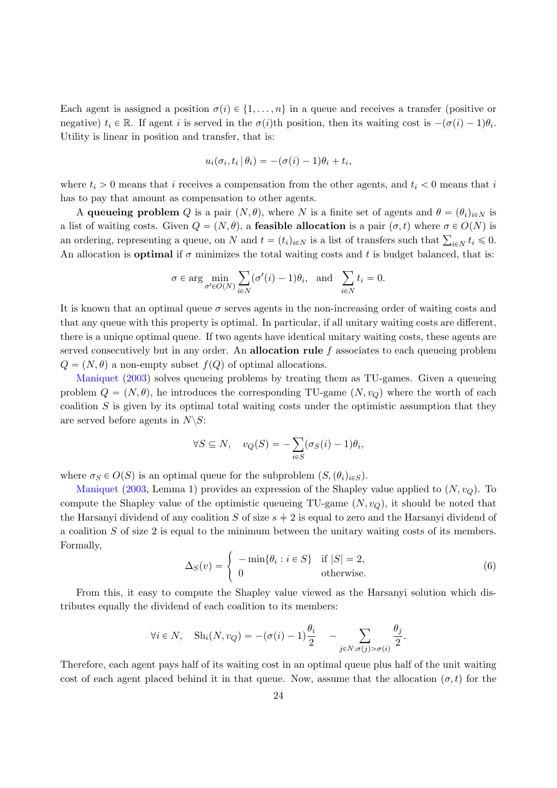Each agent is assigned a position  $\sigma(i) \in \{1, \ldots, n\}$  in a queue and receives a transfer (positive or negative)  $t_i \in \mathbb{R}$ . If agent i is served in the  $\sigma(i)$ th position, then its waiting cost is  $-(\sigma(i)-1)\theta_i$ . Utility is linear in position and transfer, that is:

$$
u_i(\sigma_i, t_i | \theta_i) = -(\sigma(i) - 1)\theta_i + t_i,
$$

where  $t_i > 0$  means that i receives a compensation from the other agents, and  $t_i < 0$  means that i has to pay that amount as compensation to other agents.

A queueing problem Q is a pair  $(N, \theta)$ , where N is a finite set of agents and  $\theta = (\theta_i)_{i \in N}$  is a list of waiting costs. Given  $Q = (N, \theta)$ , a **feasible allocation** is a pair  $(\sigma, t)$  where  $\sigma \in O(N)$  is a list of waiting costs. Given  $Q = (N, \theta)$ , a **reasible anocation** is a pair  $(\theta, t)$  where  $\theta \in O(N)$  is<br>an ordering, representing a queue, on N and  $t = (t_i)_{i \in N}$  is a list of transfers such that  $\sum_{i \in N} t_i \leq 0$ . An allocation is **optimal** if  $\sigma$  minimizes the total waiting costs and t is budget balanced, that is:

$$
\sigma \in \arg \min_{\sigma' \in O(N)} \sum_{i \in N} (\sigma'(i) - 1)\theta_i
$$
, and  $\sum_{i \in N} t_i = 0$ .

It is known that an optimal queue  $\sigma$  serves agents in the non-increasing order of waiting costs and that any queue with this property is optimal. In particular, if all unitary waiting costs are different, there is a unique optimal queue. If two agents have identical unitary waiting costs, these agents are served consecutively but in any order. An **allocation rule**  $f$  associates to each queueing problem  $Q = (N, \theta)$  a non-empty subset  $f(Q)$  of optimal allocations.

Maniquet (2003) solves queueing problems by treating them as TU-games. Given a queueing problem  $Q = (N, \theta)$ , he introduces the corresponding TU-game  $(N, v_Q)$  where the worth of each coalition  $S$  is given by its optimal total waiting costs under the optimistic assumption that they are served before agents in  $N\backslash S$ :

$$
\forall S \subseteq N, \quad v_Q(S) = -\sum_{i \in S} (\sigma_S(i) - 1)\theta_i,
$$

where  $\sigma_S \in O(S)$  is an optimal queue for the subproblem  $(S, (\theta_i)_{i \in S})$ .

Maniquet (2003, Lemma 1) provides an expression of the Shapley value applied to  $(N, v_Q)$ . To compute the Shapley value of the optimistic queueing TU-game  $(N, v<sub>O</sub>)$ , it should be noted that the Harsanyi dividend of any coalition S of size  $s \neq 2$  is equal to zero and the Harsanyi dividend of a coalition S of size 2 is equal to the minimum between the unitary waiting costs of its members. Formally,

$$
\Delta_S(v) = \begin{cases}\n-\min\{\theta_i : i \in S\} & \text{if } |S| = 2, \\
0 & \text{otherwise.} \n\end{cases}
$$
\n(6)

From this, it easy to compute the Shapley value viewed as the Harsanyi solution which distributes equally the dividend of each coalition to its members:

$$
\forall i \in N, \quad \text{Sh}_i(N, v_Q) = -(\sigma(i) - 1)\frac{\theta_i}{2} \quad - \sum_{j \in N: \sigma(j) > \sigma(i)} \frac{\theta_j}{2}.
$$

Therefore, each agent pays half of its waiting cost in an optimal queue plus half of the unit waiting cost of each agent placed behind it in that queue. Now, assume that the allocation  $(\sigma, t)$  for the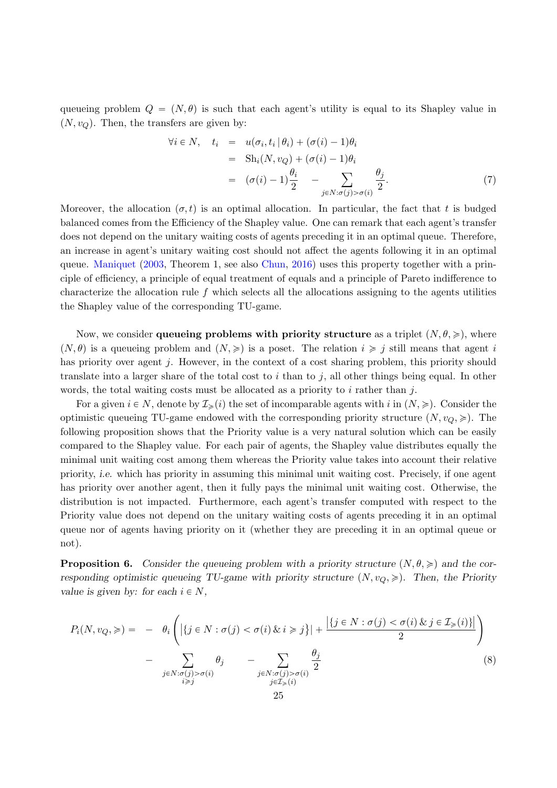queueing problem  $Q = (N, \theta)$  is such that each agent's utility is equal to its Shapley value in  $(N, v<sub>O</sub>)$ . Then, the transfers are given by:

$$
\forall i \in N, \quad t_i = u(\sigma_i, t_i | \theta_i) + (\sigma(i) - 1)\theta_i
$$
  
= Sh<sub>i</sub>(N, v<sub>Q</sub>) + (\sigma(i) - 1)\theta\_i  
= (\sigma(i) - 1)\frac{\theta\_i}{2} - \sum\_{j \in N: \sigma(j) > \sigma(i)} \frac{\theta\_j}{2}. (7)

Moreover, the allocation  $(\sigma, t)$  is an optimal allocation. In particular, the fact that t is budged balanced comes from the Efficiency of the Shapley value. One can remark that each agent's transfer does not depend on the unitary waiting costs of agents preceding it in an optimal queue. Therefore, an increase in agent's unitary waiting cost should not affect the agents following it in an optimal queue. Maniquet (2003, Theorem 1, see also Chun, 2016) uses this property together with a principle of efficiency, a principle of equal treatment of equals and a principle of Pareto indifference to characterize the allocation rule  $f$  which selects all the allocations assigning to the agents utilities the Shapley value of the corresponding TU-game.

Now, we consider queueing problems with priority structure as a triplet  $(N, \theta, \geqslant)$ , where  $(N, \theta)$  is a queueing problem and  $(N, \geqslant)$  is a poset. The relation  $i \geqslant j$  still means that agent is has priority over agent  $j$ . However, in the context of a cost sharing problem, this priority should translate into a larger share of the total cost to  $i$  than to  $j$ , all other things being equal. In other words, the total waiting costs must be allocated as a priority to  $i$  rather than  $j$ .

For a given  $i \in N$ , denote by  $\mathcal{I}_{\geqslant}(i)$  the set of incomparable agents with i in  $(N, \geqslant)$ . Consider the optimistic queueing TU-game endowed with the corresponding priority structure  $(N, v_Q, \geqslant)$ . The following proposition shows that the Priority value is a very natural solution which can be easily compared to the Shapley value. For each pair of agents, the Shapley value distributes equally the minimal unit waiting cost among them whereas the Priority value takes into account their relative priority, i.e. which has priority in assuming this minimal unit waiting cost. Precisely, if one agent has priority over another agent, then it fully pays the minimal unit waiting cost. Otherwise, the distribution is not impacted. Furthermore, each agent's transfer computed with respect to the Priority value does not depend on the unitary waiting costs of agents preceding it in an optimal queue nor of agents having priority on it (whether they are preceding it in an optimal queue or not).

**Proposition 6.** Consider the queueing problem with a priority structure  $(N, \theta, \geqslant)$  and the corresponding optimistic queueing TU-game with priority structure  $(N, v<sub>O</sub>, \geqslant)$ . Then, the Priority value is given by: for each  $i \in N$ ,

$$
P_i(N, v_Q, \geqslant) = - \theta_i \left( |\{ j \in N : \sigma(j) < \sigma(i) \& i \geqslant j \}| + \frac{|\{ j \in N : \sigma(j) < \sigma(i) \& j \in \mathcal{I}_{\geqslant}(i) \}|}{2} \right) - \sum_{\substack{j \in N : \sigma(j) > \sigma(i) \\ i \geqslant j}} \theta_j - \sum_{\substack{j \in N : \sigma(j) > \sigma(i) \\ j \in \mathcal{I}_{\geqslant}(i)}} \frac{\theta_j}{2} \tag{8}
$$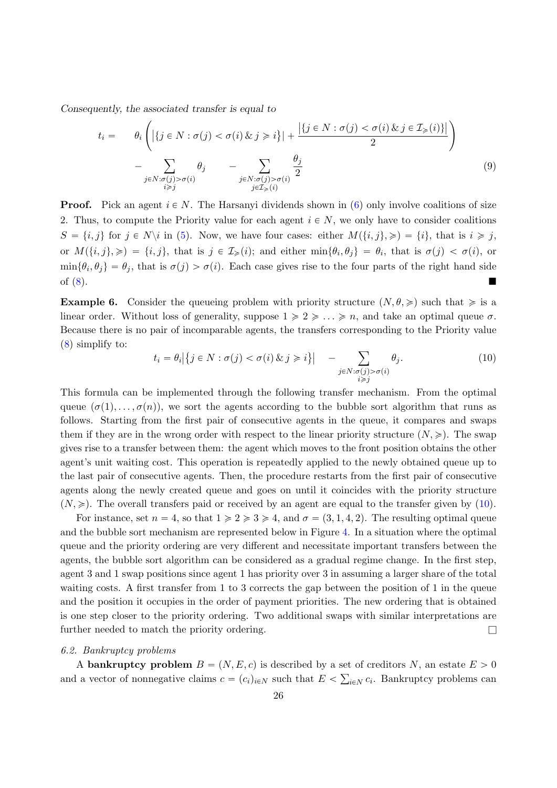Consequently, the associated transfer is equal to ˜

$$
t_i = \theta_i \left( |\{ j \in N : \sigma(j) < \sigma(i) \& j \geq i \}| + \frac{|\{ j \in N : \sigma(j) < \sigma(i) \& j \in \mathcal{I}_{\geq}(i) \}|}{2} \right) - \sum_{\substack{j \in N : \sigma(j) > \sigma(i) \\ i \geq j}} \theta_j - \sum_{\substack{j \in N : \sigma(j) > \sigma(i) \\ j \in \mathcal{I}_{\geq}(i)}} \frac{\theta_j}{2} \tag{9}
$$

**Proof.** Pick an agent  $i \in N$ . The Harsanyi dividends shown in (6) only involve coalitions of size 2. Thus, to compute the Priority value for each agent  $i \in N$ , we only have to consider coalitions  $S = \{i, j\}$  for  $j \in N\backslash i$  in (5). Now, we have four cases: either  $M(\{i, j\}, \geqslant) = \{i\}$ , that is  $i \geqslant j$ , or  $M({i, j}, \geqslant) = {i, j}$ , that is  $j \in I_{\geqslant}(i)$ ; and either  $\min{\lbrace \theta_i, \theta_j \rbrace} = \theta_i$ , that is  $\sigma(j) < \sigma(i)$ , or  $\min\{\theta_i,\theta_j\}=\theta_j$ , that is  $\sigma(j)>\sigma(i)$ . Each case gives rise to the four parts of the right hand side of  $(8)$ .

**Example 6.** Consider the queueing problem with priority structure  $(N, \theta, \geqslant)$  such that  $\geqslant$  is a linear order. Without loss of generality, suppose  $1 \geqslant 2 \geqslant \ldots \geqslant n$ , and take an optimal queue  $\sigma$ . Because there is no pair of incomparable agents, the transfers corresponding to the Priority value (8) simplify to:  $\mathbf{r}$ 

$$
t_i = \theta_i \Big| \{ j \in N : \sigma(j) < \sigma(i) \, \& j \geq i \} \Big| \quad - \sum_{\substack{j \in N : \sigma(j) > \sigma(i) \\ i \geq j}} \theta_j. \tag{10}
$$

This formula can be implemented through the following transfer mechanism. From the optimal queue  $(\sigma(1), \ldots, \sigma(n))$ , we sort the agents according to the bubble sort algorithm that runs as follows. Starting from the first pair of consecutive agents in the queue, it compares and swaps them if they are in the wrong order with respect to the linear priority structure  $(N, \geqslant)$ . The swap gives rise to a transfer between them: the agent which moves to the front position obtains the other agent's unit waiting cost. This operation is repeatedly applied to the newly obtained queue up to the last pair of consecutive agents. Then, the procedure restarts from the first pair of consecutive agents along the newly created queue and goes on until it coincides with the priority structure  $(N, \geqslant)$ . The overall transfers paid or received by an agent are equal to the transfer given by (10).

For instance, set  $n = 4$ , so that  $1 \ge 2 \ge 3 \ge 4$ , and  $\sigma = (3, 1, 4, 2)$ . The resulting optimal queue and the bubble sort mechanism are represented below in Figure 4. In a situation where the optimal queue and the priority ordering are very different and necessitate important transfers between the agents, the bubble sort algorithm can be considered as a gradual regime change. In the first step, agent 3 and 1 swap positions since agent 1 has priority over 3 in assuming a larger share of the total waiting costs. A first transfer from 1 to 3 corrects the gap between the position of 1 in the queue and the position it occupies in the order of payment priorities. The new ordering that is obtained is one step closer to the priority ordering. Two additional swaps with similar interpretations are further needed to match the priority ordering.  $\Box$ 

#### 6.2. Bankruptcy problems

A bankruptcy problem  $B = (N, E, c)$  is described by a set of creditors N, an estate  $E > 0$ and a vector of nonnegative claims  $c = (c_i)_{i \in N}$  such that  $E < \sum_{i \in N} c_i$ . Bankruptcy problems can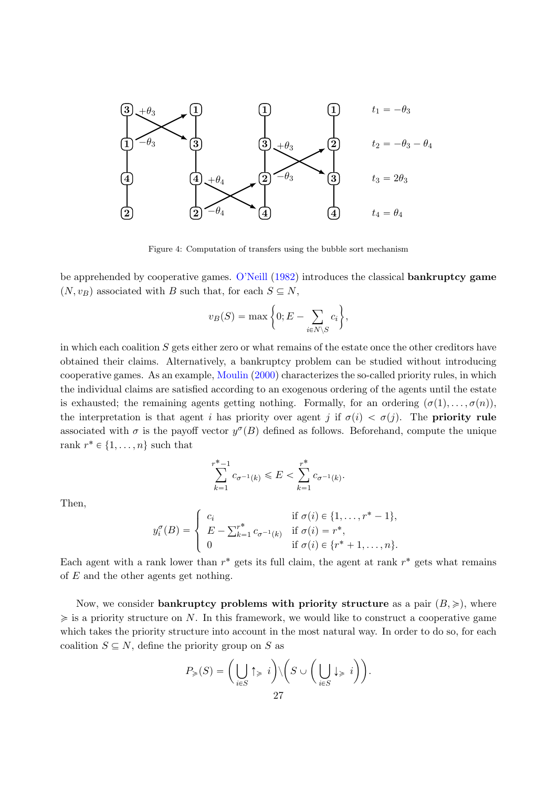

Figure 4: Computation of transfers using the bubble sort mechanism

be apprehended by cooperative games. O'Neill (1982) introduces the classical bankruptcy game  $(N, v_B)$  associated with B such that, for each  $S \subseteq N$ , \*

$$
v_B(S) = \max\bigg\{0; E - \sum_{i \in N \setminus S} c_i\bigg\},\,
$$

in which each coalition S gets either zero or what remains of the estate once the other creditors have obtained their claims. Alternatively, a bankruptcy problem can be studied without introducing cooperative games. As an example, Moulin (2000) characterizes the so-called priority rules, in which the individual claims are satisfied according to an exogenous ordering of the agents until the estate is exhausted; the remaining agents getting nothing. Formally, for an ordering  $(\sigma(1), \ldots, \sigma(n))$ , the interpretation is that agent i has priority over agent j if  $\sigma(i) < \sigma(j)$ . The **priority rule** associated with  $\sigma$  is the payoff vector  $y^{\sigma}(B)$  defined as follows. Beforehand, compute the unique rank  $r^* \in \{1, \ldots, n\}$  such that

$$
\sum_{k=1}^{r^{*}-1} c_{\sigma^{-1}(k)} \leq E < \sum_{k=1}^{r^{*}} c_{\sigma^{-1}(k)}.
$$

Then,

$$
y_i^{\sigma}(B) = \begin{cases} c_i & \text{if } \sigma(i) \in \{1, ..., r^* - 1\}, \\ E - \sum_{k=1}^{r^*} c_{\sigma^{-1}(k)} & \text{if } \sigma(i) = r^*, \\ 0 & \text{if } \sigma(i) \in \{r^* + 1, ..., n\}. \end{cases}
$$

Each agent with a rank lower than  $r^*$  gets its full claim, the agent at rank  $r^*$  gets what remains of E and the other agents get nothing.

Now, we consider bankruptcy problems with priority structure as a pair  $(B, \geqslant)$ , where  $\geq$  is a priority structure on N. In this framework, we would like to construct a cooperative game which takes the priority structure into account in the most natural way. In order to do so, for each coalition  $S \subseteq N$ , define the priority group on S as ˙˙

$$
P_{\geqslant}(S) = \bigg(\bigcup_{i \in S} \uparrow_{\geqslant} i\bigg) \setminus \bigg(S \cup \bigg(\bigcup_{i \in S} \downarrow_{\geqslant} i\bigg)\bigg).
$$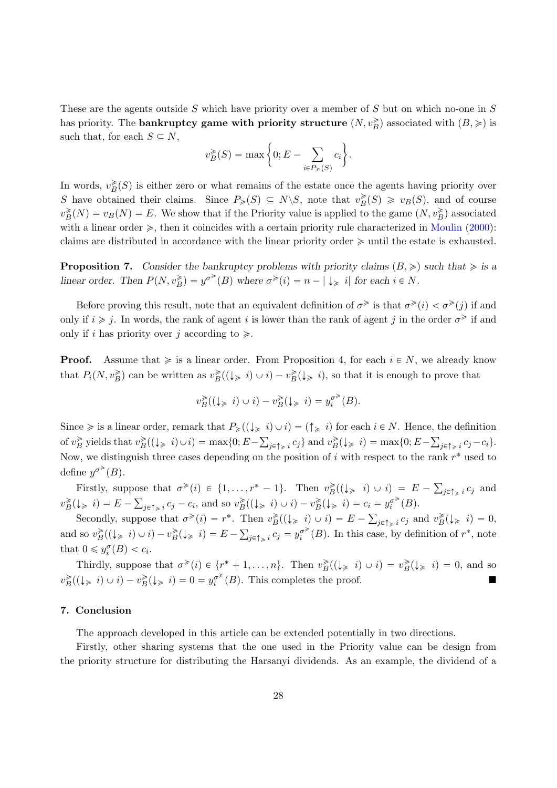These are the agents outside S which have priority over a member of S but on which no-one in S has priority. The **bankruptcy game with priority structure**  $(N, v_B^{\geq})$  associated with  $(B, \geq)$  is such that, for each  $S \subseteq N$ , \*

$$
v_B^{\geq}(S) = \max \bigg\{0; E - \sum_{i \in P_{\geq}(S)} c_i \bigg\}.
$$

In words,  $v_B^{\geq}(S)$  is either zero or what remains of the estate once the agents having priority over S have obtained their claims. Since  $P_{\geqslant}(S) \subseteq N \backslash S$ , note that  $v_B^{\geqslant}(S) \geqslant v_B(S)$ , and of course  $v_B^{\geq}(N) = v_B(N) = E$ . We show that if the Priority value is applied to the game  $(N, v_B^{\geq})$  associated with a linear order  $\geq$ , then it coincides with a certain priority rule characterized in Moulin (2000): claims are distributed in accordance with the linear priority order  $\geq$  until the estate is exhausted.

**Proposition 7.** Consider the bankruptcy problems with priority claims  $(B, \geq)$  such that  $\geq$  is a linear order. Then  $P(N, v_B^{\geq}) = y^{\sigma^{\geq}}(B)$  where  $\sigma^{\geq}(i) = n - |\downarrow_{\geq} i|$  for each  $i \in N$ .

Before proving this result, note that an equivalent definition of  $\sigma^{\geq}$  is that  $\sigma^{\geq}(i) < \sigma^{\geq}(j)$  if and only if  $i \geq j$ . In words, the rank of agent i is lower than the rank of agent j in the order  $\sigma^{\geq j}$  if and only if i has priority over j according to  $\geq$ .

**Proof.** Assume that  $\geq$  is a linear order. From Proposition 4, for each  $i \in N$ , we already know that  $P_i(N, v_B^{\geqslant})$  can be written as  $v_B^{\geqslant}((\downarrow_{\geqslant} i) \cup i) - v_B^{\geqslant}(\downarrow_{\geqslant} i)$ , so that it is enough to prove that

$$
v_B^{\geq}((\downarrow_{\geq} i)\cup i)-v_B^{\geq}(\downarrow_{\geq} i)=y_i^{\sigma^{\geq}}(B).
$$

Since  $\geq$  is a linear order, remark that  $P_{\geqslant}((\downarrow_{\geqslant} i)\cup i) = (\uparrow_{\geqslant} i)$  for each  $i \in N$ . Hence, the definition of  $v_B^{\geq}$  yields that  $v_B^{\geq}((\downarrow_{\geq} i) \cup i) = \max\{0; E - \sum_{j \in \uparrow_{\geq} i} c_j\}$  and  $v_B^{\geq}(\downarrow_{\geq} i) = \max\{0; E - \sum_{j \in \uparrow_{\geq} i} c_j - c_i\}$ . Now, we distinguish three cases depending on the position of  $i$  with respect to the rank  $r^*$  used to define  $y^{\sigma^{\geq}}(B)$ .

Firstly, suppose that  $\sigma^{\geq}(i) \in \{1, \ldots, r^* - 1\}$ . Then  $v_B^{\geq}((\downarrow_{\geq} i) \cup i) = E$ ose that  $\sigma^{\geq}(i) \in \{1, \ldots, r^* - 1\}$ . Then  $v_B^{\geq}( (\downarrow_{\geq} i) \cup i ) = E - \sum_{j \in \uparrow_{\geq} i} c_j$  and  $v_B^{\geqslant}(\downarrow_{\geqslant} i) = E - \sum_{j \in \uparrow_{\geqslant} i} c_j - c_i$ , and so  $v_B^{\geqslant}((\downarrow_{\geqslant} i) \cup i) - v_B^{\geqslant}(\downarrow_{\geqslant} i) = c_i = y_i^{\sigma^{\geqslant}}(B)$ .

Secondly, suppose that  $\sigma^{\geq}(i) = r^*$ . Then  $v_B^{\geq}((\downarrow_{\geq} i) \cup i) = E - \sum_{j \in \uparrow_{\geq} i} c_j$  and  $v_B^{\geq}(\downarrow_{\geq} i) = 0$ , and so  $v_B^{\geq}((\downarrow_{\geq} i) \cup i) - v_B^{\geq}(\downarrow_{\geq} i) = E - \sum_{j \in \uparrow_{\geq} i} c_j = y_i^{\sigma^{\geq}}(B)$ . In this case, by definition of  $r^*$ , note that  $0 \leq y_i^{\sigma}(B) < c_i$ .

Thirdly, suppose that  $\sigma^{\geq}(i) \in \{r^* + 1, \ldots, n\}$ . Then  $v_B^{\geq}((\downarrow_{\geq} i) \cup i) = v_B^{\geq}(\downarrow_{\geq} i) = 0$ , and so  $v_B^{\geq}((\downarrow_{\geq} i) \cup i) - v_B^{\geq}(\downarrow_{\geq} i) = 0 = y_i^{\sigma^{\geq}}(B)$ . This completes the proof.

#### 7. Conclusion

The approach developed in this article can be extended potentially in two directions.

Firstly, other sharing systems that the one used in the Priority value can be design from the priority structure for distributing the Harsanyi dividends. As an example, the dividend of a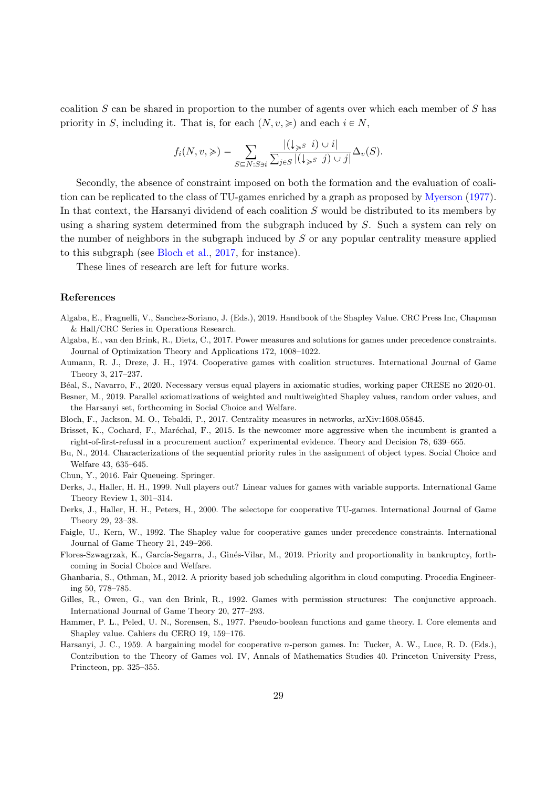coalition S can be shared in proportion to the number of agents over which each member of S has priority in S, including it. That is, for each  $(N, v, \geqslant)$  and each  $i \in N$ ,

$$
f_i(N, v, \geqslant) = \sum_{S \subseteq N: S \ni i} \frac{|(\downarrow_{\geqslant S} i) \cup i|}{\sum_{j \in S} |(\downarrow_{\geqslant S} j) \cup j|} \Delta_v(S).
$$

Secondly, the absence of constraint imposed on both the formation and the evaluation of coalition can be replicated to the class of TU-games enriched by a graph as proposed by Myerson (1977). In that context, the Harsanyi dividend of each coalition S would be distributed to its members by using a sharing system determined from the subgraph induced by S. Such a system can rely on the number of neighbors in the subgraph induced by S or any popular centrality measure applied to this subgraph (see Bloch et al., 2017, for instance).

These lines of research are left for future works.

#### References

- Algaba, E., Fragnelli, V., Sanchez-Soriano, J. (Eds.), 2019. Handbook of the Shapley Value. CRC Press Inc, Chapman & Hall/CRC Series in Operations Research.
- Algaba, E., van den Brink, R., Dietz, C., 2017. Power measures and solutions for games under precedence constraints. Journal of Optimization Theory and Applications 172, 1008–1022.
- Aumann, R. J., Dreze, J. H., 1974. Cooperative games with coalition structures. International Journal of Game Theory 3, 217–237.
- B´eal, S., Navarro, F., 2020. Necessary versus equal players in axiomatic studies, working paper CRESE no 2020-01.
- Besner, M., 2019. Parallel axiomatizations of weighted and multiweighted Shapley values, random order values, and the Harsanyi set, forthcoming in Social Choice and Welfare.
- Bloch, F., Jackson, M. O., Tebaldi, P., 2017. Centrality measures in networks, arXiv:1608.05845.
- Brisset, K., Cochard, F., Maréchal, F., 2015. Is the newcomer more aggressive when the incumbent is granted a right-of-first-refusal in a procurement auction? experimental evidence. Theory and Decision 78, 639–665.
- Bu, N., 2014. Characterizations of the sequential priority rules in the assignment of object types. Social Choice and Welfare 43, 635–645.
- Chun, Y., 2016. Fair Queueing. Springer.
- Derks, J., Haller, H. H., 1999. Null players out? Linear values for games with variable supports. International Game Theory Review 1, 301–314.
- Derks, J., Haller, H. H., Peters, H., 2000. The selectope for cooperative TU-games. International Journal of Game Theory 29, 23–38.
- Faigle, U., Kern, W., 1992. The Shapley value for cooperative games under precedence constraints. International Journal of Game Theory 21, 249–266.
- Flores-Szwagrzak, K., García-Segarra, J., Ginés-Vilar, M., 2019. Priority and proportionality in bankruptcy, forthcoming in Social Choice and Welfare.
- Ghanbaria, S., Othman, M., 2012. A priority based job scheduling algorithm in cloud computing. Procedia Engineering 50, 778–785.
- Gilles, R., Owen, G., van den Brink, R., 1992. Games with permission structures: The conjunctive approach. International Journal of Game Theory 20, 277–293.
- Hammer, P. L., Peled, U. N., Sorensen, S., 1977. Pseudo-boolean functions and game theory. I. Core elements and Shapley value. Cahiers du CERO 19, 159–176.
- Harsanyi, J. C., 1959. A bargaining model for cooperative n-person games. In: Tucker, A. W., Luce, R. D. (Eds.), Contribution to the Theory of Games vol. IV, Annals of Mathematics Studies 40. Princeton University Press, Princteon, pp. 325–355.